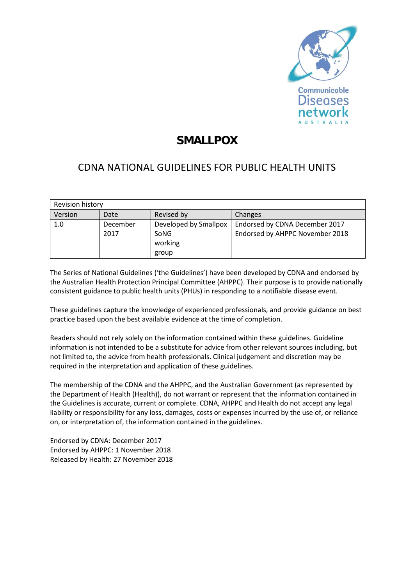

# **SMALLPOX**

# CDNA NATIONAL GUIDELINES FOR PUBLIC HEALTH UNITS

| Revision history |          |                       |                                 |  |  |
|------------------|----------|-----------------------|---------------------------------|--|--|
| Version          | Date     | Revised by            | Changes                         |  |  |
| 1.0              | December | Developed by Smallpox | Endorsed by CDNA December 2017  |  |  |
|                  | 2017     | SoNG                  | Endorsed by AHPPC November 2018 |  |  |
|                  |          | working               |                                 |  |  |
|                  |          | group                 |                                 |  |  |

The Series of National Guidelines ('the Guidelines') have been developed by CDNA and endorsed by the Australian Health Protection Principal Committee (AHPPC). Their purpose is to provide nationally consistent guidance to public health units (PHUs) in responding to a notifiable disease event.

These guidelines capture the knowledge of experienced professionals, and provide guidance on best practice based upon the best available evidence at the time of completion.

Readers should not rely solely on the information contained within these guidelines. Guideline information is not intended to be a substitute for advice from other relevant sources including, but not limited to, the advice from health professionals. Clinical judgement and discretion may be required in the interpretation and application of these guidelines.

The membership of the CDNA and the AHPPC, and the Australian Government (as represented by the Department of Health (Health)), do not warrant or represent that the information contained in the Guidelines is accurate, current or complete. CDNA, AHPPC and Health do not accept any legal liability or responsibility for any loss, damages, costs or expenses incurred by the use of, or reliance on, or interpretation of, the information contained in the guidelines.

Endorsed by CDNA: December 2017 Endorsed by AHPPC: 1 November 2018 Released by Health: 27 November 2018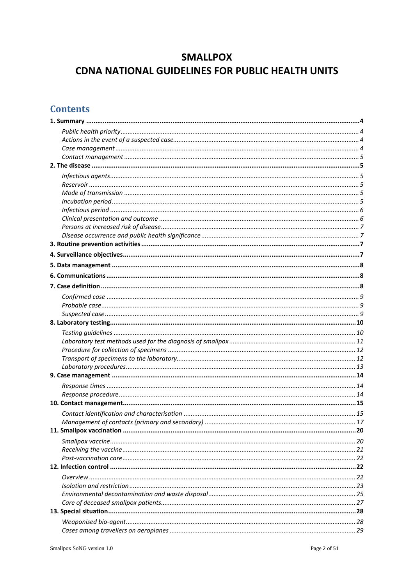## **SMALLPOX**

# **CDNA NATIONAL GUIDELINES FOR PUBLIC HEALTH UNITS**

## **Contents**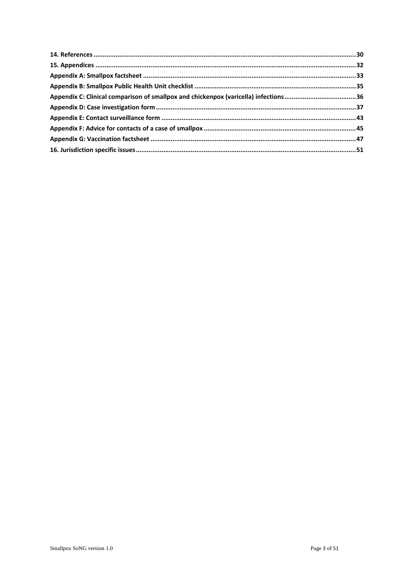| Appendix C: Clinical comparison of smallpox and chickenpox (varicella) infections36 |  |
|-------------------------------------------------------------------------------------|--|
|                                                                                     |  |
|                                                                                     |  |
|                                                                                     |  |
|                                                                                     |  |
|                                                                                     |  |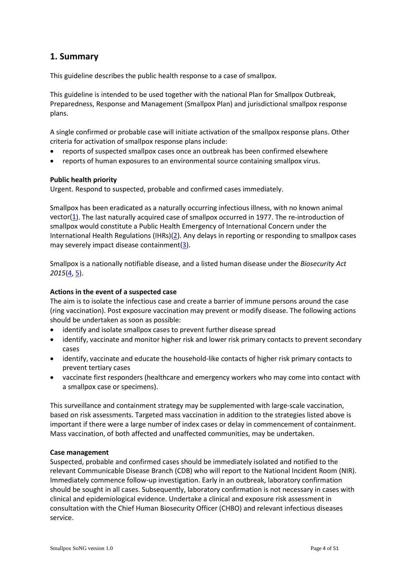## <span id="page-3-0"></span>**1. Summary**

This guideline describes the public health response to a case of smallpox.

This guideline is intended to be used together with the national Plan for Smallpox Outbreak, Preparedness, Response and Management (Smallpox Plan) and jurisdictional smallpox response plans.

A single confirmed or probable case will initiate activation of the smallpox response plans. Other criteria for activation of smallpox response plans include:

- reports of suspected smallpox cases once an outbreak has been confirmed elsewhere
- reports of human exposures to an environmental source containing smallpox virus.

## <span id="page-3-1"></span>**Public health priority**

Urgent. Respond to suspected, probable and confirmed cases immediately.

Smallpox has been eradicated as a naturally occurring infectious illness, with no known animal vector[\(1\)](#page-29-1). The last naturally acquired case of smallpox occurred in 1977. The re-introduction of smallpox would constitute a Public Health Emergency of International Concern under the International Health Regulations (IHRs)[\(2\)](#page-29-2). Any delays in reporting or responding to smallpox cases may severely impact disease containment[\(3\)](#page-29-3).

Smallpox is a nationally notifiable disease, and a listed human disease under the *Biosecurity Act 2015*[\(4,](#page-29-4) [5\)](#page-29-5).

## <span id="page-3-2"></span>**Actions in the event of a suspected case**

The aim is to isolate the infectious case and create a barrier of immune persons around the case (ring vaccination). Post exposure vaccination may prevent or modify disease. The following actions should be undertaken as soon as possible:

- identify and isolate smallpox cases to prevent further disease spread
- identify, vaccinate and monitor higher risk and lower risk primary contacts to prevent secondary cases
- identify, vaccinate and educate the household-like contacts of higher risk primary contacts to prevent tertiary cases
- vaccinate first responders (healthcare and emergency workers who may come into contact with a smallpox case or specimens).

This surveillance and containment strategy may be supplemented with large-scale vaccination, based on risk assessments. Targeted mass vaccination in addition to the strategies listed above is important if there were a large number of index cases or delay in commencement of containment. Mass vaccination, of both affected and unaffected communities, may be undertaken.

## <span id="page-3-3"></span>**Case management**

Suspected, probable and confirmed cases should be immediately isolated and notified to the relevant Communicable Disease Branch (CDB) who will report to the National Incident Room (NIR). Immediately commence follow-up investigation. Early in an outbreak, laboratory confirmation should be sought in all cases. Subsequently, laboratory confirmation is not necessary in cases with clinical and epidemiological evidence. Undertake a clinical and exposure risk assessment in consultation with the Chief Human Biosecurity Officer (CHBO) and relevant infectious diseases service.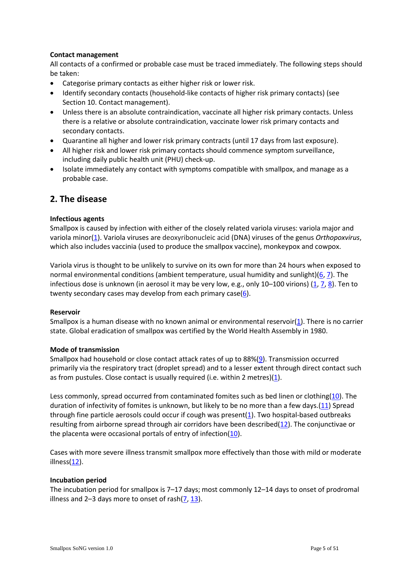## <span id="page-4-0"></span>**Contact management**

All contacts of a confirmed or probable case must be traced immediately. The following steps should be taken:

- Categorise primary contacts as either higher risk or lower risk.
- Identify secondary contacts (household-like contacts of higher risk primary contacts) (see Sectio[n 10. Contact management\)](#page-14-0).
- Unless there is an absolute contraindication, vaccinate all higher risk primary contacts. Unless there is a relative or absolute contraindication, vaccinate lower risk primary contacts and secondary contacts.
- Quarantine all higher and lower risk primary contracts (until 17 days from last exposure).
- All higher risk and lower risk primary contacts should commence symptom surveillance, including daily public health unit (PHU) check-up.
- Isolate immediately any contact with symptoms compatible with smallpox, and manage as a probable case.

## <span id="page-4-1"></span>**2. The disease**

## <span id="page-4-2"></span>**Infectious agents**

Smallpox is caused by infection with either of the closely related variola viruses: variola major and variola minor[\(1\)](#page-29-1). Variola viruses are deoxyribonucleic acid (DNA) viruses of the genus *Orthopoxvirus*, which also includes vaccinia (used to produce the smallpox vaccine), monkeypox and cowpox.

Variola virus is thought to be unlikely to survive on its own for more than 24 hours when exposed to normal environmental conditions (ambient temperature, usual humidity and sunlight)[\(6,](#page-29-6) [7\)](#page-29-7). The infectious dose is unknown (in aerosol it may be very low, e.g., only 10–100 virions) [\(1,](#page-29-1) [7,](#page-29-7) [8\)](#page-29-8). Ten to twenty secondary cases may develop from each primary case( $6$ ).

## <span id="page-4-3"></span>**Reservoir**

Smallpox is a human disease with no known animal or environmental reservoir $(1)$ . There is no carrier state. Global eradication of smallpox was certified by the World Health Assembly in 1980.

## <span id="page-4-4"></span>**Mode of transmission**

Smallpox had household or close contact attack rates of up to 88%[\(9\)](#page-29-9). Transmission occurred primarily via the respiratory tract (droplet spread) and to a lesser extent through direct contact such as from pustules. Close contact is usually required (i.e. within 2 metres)[\(1\)](#page-29-1).

Less commonly, spread occurred from contaminated fomites such as bed linen or clothing[\(10\)](#page-29-10). The duration of infectivity of fomites is unknown, but likely to be no more than a few days.[\(11\)](#page-29-11) Spread through fine particle aerosols could occur if cough was present $(1)$ . Two hospital-based outbreaks resulting from airborne spread through air corridors have been described[\(12\)](#page-29-12). The conjunctivae or the placenta were occasional portals of entry of infection $(10)$ .

Cases with more severe illness transmit smallpox more effectively than those with mild or moderate illness[\(12\)](#page-29-12).

## <span id="page-4-5"></span>**Incubation period**

The incubation period for smallpox is 7–17 days; most commonly 12–14 days to onset of prodromal illness and 2–3 days more to onset of rash $(7, 13)$  $(7, 13)$ .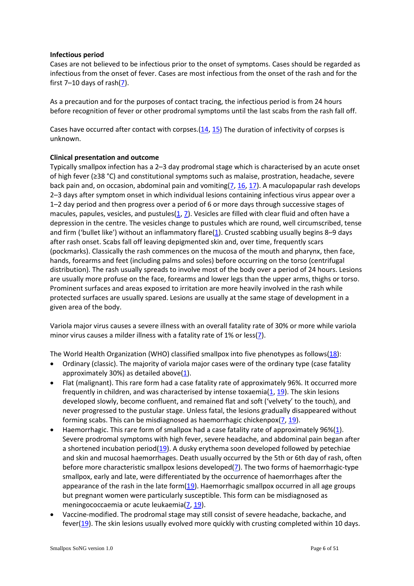## <span id="page-5-0"></span>**Infectious period**

Cases are not believed to be infectious prior to the onset of symptoms. Cases should be regarded as infectious from the onset of fever. Cases are most infectious from the onset of the rash and for the first 7–10 days of rash $(7)$ .

As a precaution and for the purposes of contact tracing, the infectious period is from 24 hours before recognition of fever or other prodromal symptoms until the last scabs from the rash fall off.

Cases have occurred after contact with corpses.[\(14,](#page-29-14) [15\)](#page-29-15) The duration of infectivity of corpses is unknown.

## <span id="page-5-1"></span>**Clinical presentation and outcome**

Typically smallpox infection has a 2–3 day prodromal stage which is characterised by an acute onset of high fever (≥38 °C) and constitutional symptoms such as malaise, prostration, headache, severe back pain and, on occasion, abdominal pain and vomiting $(7, 16, 17)$  $(7, 16, 17)$  $(7, 16, 17)$ . A maculopapular rash develops 2–3 days after symptom onset in which individual lesions containing infectious virus appear over a 1–2 day period and then progress over a period of 6 or more days through successive stages of macules, papules, vesicles, and pustules[\(1,](#page-29-1) [7\)](#page-29-7). Vesicles are filled with clear fluid and often have a depression in the centre. The vesicles change to pustules which are round, well circumscribed, tense and firm ('bullet like') without an inflammatory flare[\(1\)](#page-29-1). Crusted scabbing usually begins 8–9 days after rash onset. Scabs fall off leaving depigmented skin and, over time, frequently scars (pockmarks). Classically the rash commences on the mucosa of the mouth and pharynx, then face, hands, forearms and feet (including palms and soles) before occurring on the torso (centrifugal distribution). The rash usually spreads to involve most of the body over a period of 24 hours. Lesions are usually more profuse on the face, forearms and lower legs than the upper arms, thighs or torso. Prominent surfaces and areas exposed to irritation are more heavily involved in the rash while protected surfaces are usually spared. Lesions are usually at the same stage of development in a given area of the body.

Variola major virus causes a severe illness with an overall fatality rate of 30% or more while variola minor virus causes a milder illness with a fatality rate of 1% or less $(7)$ .

The World Health Organization (WHO) classified smallpox into five phenotypes as follows[\(18\)](#page-29-18):

- Ordinary (classic). The majority of variola major cases were of the ordinary type (case fatality approximately 30%) as detailed above[\(1\)](#page-29-1).
- Flat (malignant). This rare form had a case fatality rate of approximately 96%. It occurred more frequently in children, and was characterised by intense toxaemia( $1, 19$ ). The skin lesions developed slowly, become confluent, and remained flat and soft ('velvety' to the touch), and never progressed to the pustular stage. Unless fatal, the lesions gradually disappeared without forming scabs. This can be misdiagnosed as haemorrhagic chickenpox[\(7,](#page-29-7) [19\)](#page-29-19).
- Haemorrhagic. This rare form of smallpox had a case fatality rate of approximately 96%[\(1\)](#page-29-1). Severe prodromal symptoms with high fever, severe headache, and abdominal pain began after a shortened incubation period( $19$ ). A dusky erythema soon developed followed by petechiae and skin and mucosal haemorrhages. Death usually occurred by the 5th or 6th day of rash, often before more characteristic smallpox lesions developed[\(7\)](#page-29-7). The two forms of haemorrhagic-type smallpox, early and late, were differentiated by the occurrence of haemorrhages after the appearance of the rash in the late form $(19)$ . Haemorrhagic smallpox occurred in all age groups but pregnant women were particularly susceptible. This form can be misdiagnosed as meningococcaemia or acute leukaemia[\(7,](#page-29-7) [19\)](#page-29-19).
- Vaccine-modified. The prodromal stage may still consist of severe headache, backache, and fever[\(19\)](#page-29-19). The skin lesions usually evolved more quickly with crusting completed within 10 days.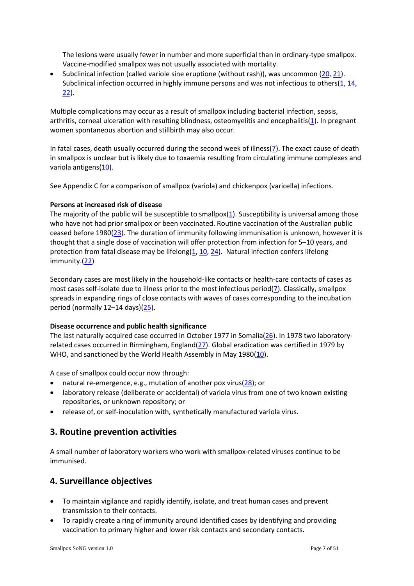The lesions were usually fewer in number and more superficial than in ordinary-type smallpox. Vaccine-modified smallpox was not usually associated with mortality.

• Subclinical infection (called variole sine eruptione (without rash)), was uncommon [\(20,](#page-29-20) [21\)](#page-29-21). Subclinical infection occurred in highly immune persons and was not infectious to others[\(1,](#page-29-1) [14,](#page-29-14) [22\)](#page-29-22).

Multiple complications may occur as a result of smallpox including bacterial infection, sepsis, arthritis, corneal ulceration with resulting blindness, osteomyelitis and encephalitis[\(1\)](#page-29-1). In pregnant women spontaneous abortion and stillbirth may also occur.

In fatal cases, death usually occurred during the second week of illness[\(7\)](#page-29-7). The exact cause of death in smallpox is unclear but is likely due to toxaemia resulting from circulating immune complexes and variola antigens[\(10\)](#page-29-10).

Se[e Appendix C](#page-35-1) for a comparison of smallpox (variola) and chickenpox (varicella) infections.

## <span id="page-6-0"></span>**Persons at increased risk of disease**

The majority of the public will be susceptible to smallpox $(1)$ . Susceptibility is universal among those who have not had prior smallpox or been vaccinated. Routine vaccination of the Australian public ceased before 1980[\(23\)](#page-29-23). The duration of immunity following immunisation is unknown, however it is thought that a single dose of vaccination will offer protection from infection for 5–10 years, and protection from fatal disease may be lifelong[\(1,](#page-29-1) [10,](#page-29-10) [24\)](#page-30-0). Natural infection confers lifelong immunity.[\(22\)](#page-29-22)

Secondary cases are most likely in the household-like contacts or health-care contacts of cases as most cases self-isolate due to illness prior to the most infectious period[\(7\)](#page-29-7). Classically, smallpox spreads in expanding rings of close contacts with waves of cases corresponding to the incubation period (normally 12-14 days)[\(25\)](#page-30-1).

## <span id="page-6-1"></span>**Disease occurrence and public health significance**

The last naturally acquired case occurred in October 1977 in Somalia[\(26\)](#page-30-2). In 1978 two laboratoryrelated cases occurred in Birmingham, England[\(27\)](#page-30-3). Global eradication was certified in 1979 by WHO, and sanctioned by the World Health Assembly in May 1980[\(10\)](#page-29-10).

A case of smallpox could occur now through:

- natural re-emergence, e.g., mutation of another pox virus[\(28\)](#page-30-4); or
- laboratory release (deliberate or accidental) of variola virus from one of two known existing repositories, or unknown repository; or
- release of, or self-inoculation with, synthetically manufactured variola virus.

## <span id="page-6-2"></span>**3. Routine prevention activities**

A small number of laboratory workers who work with smallpox-related viruses continue to be immunised.

## <span id="page-6-3"></span>**4. Surveillance objectives**

- To maintain vigilance and rapidly identify, isolate, and treat human cases and prevent transmission to their contacts.
- To rapidly create a ring of immunity around identified cases by identifying and providing vaccination to primary higher and lower risk contacts and secondary contacts.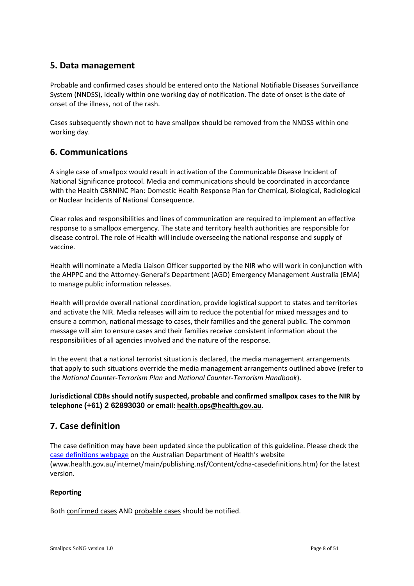## <span id="page-7-0"></span>**5. Data management**

Probable and confirmed cases should be entered onto the National Notifiable Diseases Surveillance System (NNDSS), ideally within one working day of notification. The date of onset is the date of onset of the illness, not of the rash.

Cases subsequently shown not to have smallpox should be removed from the NNDSS within one working day.

## <span id="page-7-1"></span>**6. Communications**

A single case of smallpox would result in activation of the Communicable Disease Incident of National Significance protocol. Media and communications should be coordinated in accordance with the Health CBRNINC Plan: Domestic Health Response Plan for Chemical, Biological, Radiological or Nuclear Incidents of National Consequence.

Clear roles and responsibilities and lines of communication are required to implement an effective response to a smallpox emergency. The state and territory health authorities are responsible for disease control. The role of Health will include overseeing the national response and supply of vaccine.

Health will nominate a Media Liaison Officer supported by the NIR who will work in conjunction with the AHPPC and the Attorney-General's Department (AGD) Emergency Management Australia (EMA) to manage public information releases.

Health will provide overall national coordination, provide logistical support to states and territories and activate the NIR. Media releases will aim to reduce the potential for mixed messages and to ensure a common, national message to cases, their families and the general public. The common message will aim to ensure cases and their families receive consistent information about the responsibilities of all agencies involved and the nature of the response.

In the event that a national terrorist situation is declared, the media management arrangements that apply to such situations override the media management arrangements outlined above (refer to the *National Counter-Terrorism Plan* and *National Counter-Terrorism Handbook*).

## **Jurisdictional CDBs should notify suspected, probable and confirmed smallpox cases to the NIR by telephone (+61) 2 62893030 or email[: health.ops@health.gov.au.](mailto:health.ops@health.gov.au)**

## <span id="page-7-2"></span>**7. Case definition**

The case definition may have been updated since the publication of this guideline. Please check the [case definitions webpage](http://www.health.gov.au/internet/main/publishing.nsf/Content/cdna-casedefinitions.htm) on the Australian Department of Health's website (www.health.gov.au/internet/main/publishing.nsf/Content/cdna-casedefinitions.htm) for the latest version.

## **Reporting**

Both confirmed cases AND probable cases should be notified.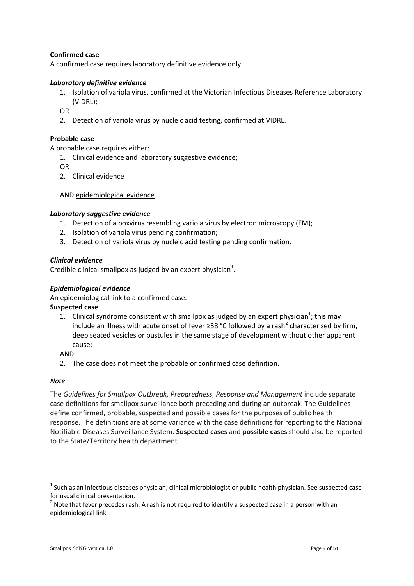## <span id="page-8-0"></span>**Confirmed case**

A confirmed case requires laboratory definitive evidence only.

## *Laboratory definitive evidence*

1. Isolation of variola virus, confirmed at the Victorian Infectious Diseases Reference Laboratory (VIDRL);

OR

2. Detection of variola virus by nucleic acid testing, confirmed at VIDRL.

## <span id="page-8-1"></span>**Probable case**

A probable case requires either:

- 1. Clinical evidence and laboratory suggestive evidence;
- OR
- 2. Clinical evidence

AND epidemiological evidence.

### *Laboratory suggestive evidence*

- 1. Detection of a poxvirus resembling variola virus by electron microscopy (EM);
- 2. Isolation of variola virus pending confirmation;
- <span id="page-8-3"></span>3. Detection of variola virus by nucleic acid testing pending confirmation.

### *Clinical evidence*

Credible clinical smallpox as judged by an expert physician $^1$  $^1$ .

### *Epidemiological evidence*

An epidemiological link to a confirmed case.

#### <span id="page-8-2"></span>**Suspected case**

1. Cli[n](#page-8-3)ical syndrome consistent with smallpox as judged by an expert physician<sup>1</sup>; this may include an illness with acute onset of fever ≥38 °C followed by a rash<sup>[2](#page-8-5)</sup> characterised by firm, deep seated vesicles or pustules in the same stage of development without other apparent cause;

#### AND

2. The case does not meet the probable or confirmed case definition.

#### *Note*

**.** 

The *Guidelines for Smallpox Outbreak, Preparedness, Response and Management* include separate case definitions for smallpox surveillance both preceding and during an outbreak. The Guidelines define confirmed, probable, suspected and possible cases for the purposes of public health response. The definitions are at some variance with the case definitions for reporting to the National Notifiable Diseases Surveillance System. **Suspected cases** and **possible cases** should also be reported to the State/Territory health department.

<span id="page-8-4"></span> $1$  Such as an infectious diseases physician, clinical microbiologist or public health physician. See suspected case for usual clinical presentation.

<span id="page-8-5"></span> $<sup>2</sup>$  Note that fever precedes rash. A rash is not required to identify a suspected case in a person with an</sup> epidemiological link.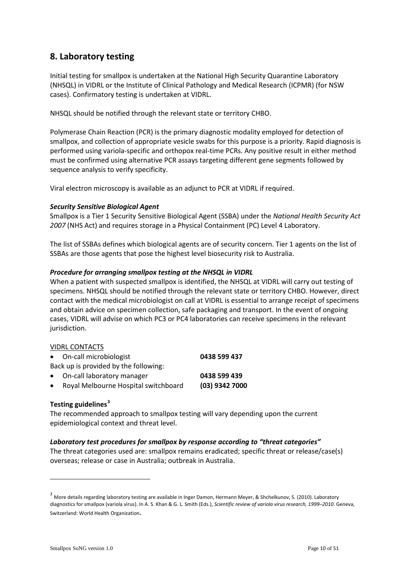## <span id="page-9-0"></span>**8. Laboratory testing**

Initial testing for smallpox is undertaken at the National High Security Quarantine Laboratory (NHSQL) in VIDRL or the Institute of Clinical Pathology and Medical Research (ICPMR) (for NSW cases). Confirmatory testing is undertaken at VIDRL.

NHSQL should be notified through the relevant state or territory CHBO.

Polymerase Chain Reaction (PCR) is the primary diagnostic modality employed for detection of smallpox, and collection of appropriate vesicle swabs for this purpose is a priority. Rapid diagnosis is performed using variola-specific and orthopox real-time PCRs. Any positive result in either method must be confirmed using alternative PCR assays targeting different gene segments followed by sequence analysis to verify specificity.

Viral electron microscopy is available as an adjunct to PCR at VIDRL if required.

## *Security Sensitive Biological Agent*

Smallpox is a Tier 1 Security Sensitive Biological Agent (SSBA) under the *National Health Security Act 2007* (NHS Act) and requires storage in a Physical Containment (PC) Level 4 Laboratory.

The list of SSBAs defines which biological agents are of security concern. Tier 1 agents on the list of SSBAs are those agents that pose the highest level biosecurity risk to Australia.

## *Procedure for arranging smallpox testing at the NHSQL in VIDRL*

When a patient with suspected smallpox is identified, the NHSQL at VIDRL will carry out testing of specimens. NHSQL should be notified through the relevant state or territory CHBO. However, direct contact with the medical microbiologist on call at VIDRL is essential to arrange receipt of specimens and obtain advice on specimen collection, safe packaging and transport. In the event of ongoing cases, VIDRL will advise on which PC3 or PC4 laboratories can receive specimens in the relevant jurisdiction.

## VIDRL CONTACTS

| • On-call microbiologist               | 0438 599 437   |
|----------------------------------------|----------------|
| Back up is provided by the following:  |                |
| • On-call laboratory manager           | 0438 599 439   |
| • Royal Melbourne Hospital switchboard | (03) 9342 7000 |

## <span id="page-9-1"></span>**Testing guidelines[3](#page-9-2)**

**.** 

The recommended approach to smallpox testing will vary depending upon the current epidemiological context and threat level.

## *Laboratory test procedures for smallpox by response according to "threat categories"*

The threat categories used are: smallpox remains eradicated; specific threat or release/case(s) overseas; release or case in Australia; outbreak in Australia.

<span id="page-9-2"></span> $3$  More details regarding laboratory testing are available in Inger Damon, Hermann Meyer, & Shchelkunov, S. (2010). Laboratory diagnostics for smallpox (variola virus). In A. S. Khan & G. L. Smith (Eds.), *Scientific review of variola virus research, 1999–2010*. Geneva, Switzerland: World Health Organization.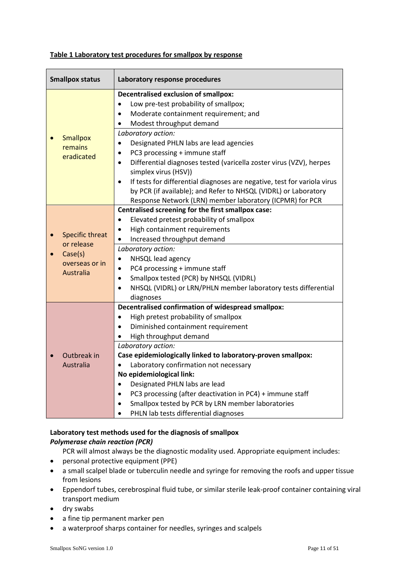## **Table 1 Laboratory test procedures for smallpox by response**

| <b>Smallpox status</b>                                                         | Laboratory response procedures                                                                                                                                                                                                                                                                                                                                                                                                                                 |
|--------------------------------------------------------------------------------|----------------------------------------------------------------------------------------------------------------------------------------------------------------------------------------------------------------------------------------------------------------------------------------------------------------------------------------------------------------------------------------------------------------------------------------------------------------|
|                                                                                | <b>Decentralised exclusion of smallpox:</b><br>Low pre-test probability of smallpox;<br>$\bullet$<br>Moderate containment requirement; and<br>$\bullet$<br>Modest throughput demand<br>$\bullet$                                                                                                                                                                                                                                                               |
| <b>Smallpox</b><br>remains<br>eradicated                                       | Laboratory action:<br>Designated PHLN labs are lead agencies<br>PC3 processing + immune staff<br>Differential diagnoses tested (varicella zoster virus (VZV), herpes<br>$\bullet$<br>simplex virus (HSV))<br>If tests for differential diagnoses are negative, test for variola virus<br>$\bullet$<br>by PCR (if available); and Refer to NHSQL (VIDRL) or Laboratory<br>Response Network (LRN) member laboratory (ICPMR) for PCR                              |
| <b>Specific threat</b><br>or release<br>Case(s)<br>overseas or in<br>Australia | Centralised screening for the first smallpox case:<br>Elevated pretest probability of smallpox<br>$\bullet$<br>High containment requirements<br>$\bullet$<br>Increased throughput demand<br>$\bullet$<br>Laboratory action:<br>NHSQL lead agency<br>$\bullet$<br>PC4 processing + immune staff<br>$\bullet$<br>Smallpox tested (PCR) by NHSQL (VIDRL)<br>$\bullet$<br>NHSQL (VIDRL) or LRN/PHLN member laboratory tests differential<br>$\bullet$<br>diagnoses |
|                                                                                | Decentralised confirmation of widespread smallpox:<br>High pretest probability of smallpox<br>٠<br>Diminished containment requirement<br>$\bullet$<br>High throughput demand                                                                                                                                                                                                                                                                                   |
| Outbreak in<br>Australia                                                       | Laboratory action:<br>Case epidemiologically linked to laboratory-proven smallpox:<br>Laboratory confirmation not necessary<br>$\bullet$<br>No epidemiological link:<br>Designated PHLN labs are lead<br>$\bullet$<br>PC3 processing (after deactivation in PC4) + immune staff<br>$\bullet$<br>Smallpox tested by PCR by LRN member laboratories<br>$\bullet$<br>PHLN lab tests differential diagnoses<br>$\bullet$                                           |

## <span id="page-10-0"></span>**Laboratory test methods used for the diagnosis of smallpox** *Polymerase chain reaction (PCR)*

PCR will almost always be the diagnostic modality used. Appropriate equipment includes:

- personal protective equipment (PPE)
- a small scalpel blade or tuberculin needle and syringe for removing the roofs and upper tissue from lesions
- Eppendorf tubes, cerebrospinal fluid tube, or similar sterile leak-proof container containing viral transport medium
- dry swabs
- a fine tip permanent marker pen
- a waterproof sharps container for needles, syringes and scalpels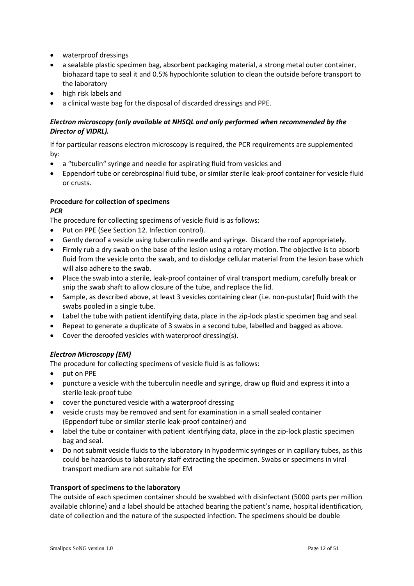- waterproof dressings
- a sealable plastic specimen bag, absorbent packaging material, a strong metal outer container, biohazard tape to seal it and 0.5% hypochlorite solution to clean the outside before transport to the laboratory
- high risk labels and
- a clinical waste bag for the disposal of discarded dressings and PPE.

## *Electron microscopy (only available at NHSQL and only performed when recommended by the Director of VIDRL).*

If for particular reasons electron microscopy is required, the PCR requirements are supplemented by:

- a "tuberculin" syringe and needle for aspirating fluid from vesicles and
- Eppendorf tube or cerebrospinal fluid tube, or similar sterile leak-proof container for vesicle fluid or crusts.

# <span id="page-11-0"></span>**Procedure for collection of specimens**

## *PCR*

The procedure for collecting specimens of vesicle fluid is as follows:

- Put on PPE (See Section [12. Infection control\)](#page-21-1).
- Gently deroof a vesicle using tuberculin needle and syringe. Discard the roof appropriately.
- Firmly rub a dry swab on the base of the lesion using a rotary motion. The objective is to absorb fluid from the vesicle onto the swab, and to dislodge cellular material from the lesion base which will also adhere to the swab.
- Place the swab into a sterile, leak-proof container of viral transport medium, carefully break or snip the swab shaft to allow closure of the tube, and replace the lid.
- Sample, as described above, at least 3 vesicles containing clear (i.e. non-pustular) fluid with the swabs pooled in a single tube.
- Label the tube with patient identifying data, place in the zip-lock plastic specimen bag and seal.
- Repeat to generate a duplicate of 3 swabs in a second tube, labelled and bagged as above.
- Cover the deroofed vesicles with waterproof dressing(s).

## *Electron Microscopy (EM)*

The procedure for collecting specimens of vesicle fluid is as follows:

- put on PPE
- puncture a vesicle with the tuberculin needle and syringe, draw up fluid and express it into a sterile leak-proof tube
- cover the punctured vesicle with a waterproof dressing
- vesicle crusts may be removed and sent for examination in a small sealed container (Eppendorf tube or similar sterile leak-proof container) and
- label the tube or container with patient identifying data, place in the zip-lock plastic specimen bag and seal.
- Do not submit vesicle fluids to the laboratory in hypodermic syringes or in capillary tubes, as this could be hazardous to laboratory staff extracting the specimen. Swabs or specimens in viral transport medium are not suitable for EM

## <span id="page-11-1"></span>**Transport of specimens to the laboratory**

The outside of each specimen container should be swabbed with disinfectant (5000 parts per million available chlorine) and a label should be attached bearing the patient's name, hospital identification, date of collection and the nature of the suspected infection. The specimens should be double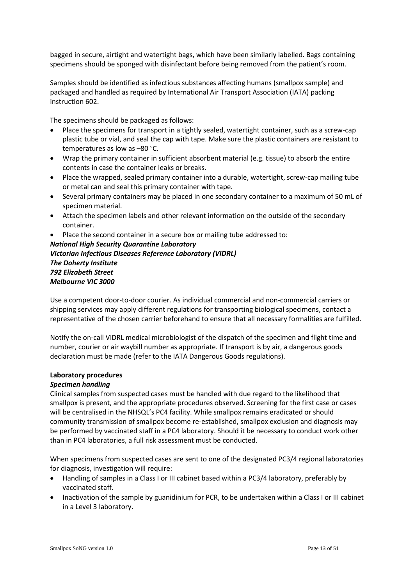bagged in secure, airtight and watertight bags, which have been similarly labelled. Bags containing specimens should be sponged with disinfectant before being removed from the patient's room.

Samples should be identified as infectious substances affecting humans (smallpox sample) and packaged and handled as required by International Air Transport Association (IATA) packing instruction 602.

The specimens should be packaged as follows:

- Place the specimens for transport in a tightly sealed, watertight container, such as a screw-cap plastic tube or vial, and seal the cap with tape. Make sure the plastic containers are resistant to temperatures as low as –80 °C.
- Wrap the primary container in sufficient absorbent material (e.g. tissue) to absorb the entire contents in case the container leaks or breaks.
- Place the wrapped, sealed primary container into a durable, watertight, screw-cap mailing tube or metal can and seal this primary container with tape.
- Several primary containers may be placed in one secondary container to a maximum of 50 mL of specimen material.
- Attach the specimen labels and other relevant information on the outside of the secondary container.
- Place the second container in a secure box or mailing tube addressed to:

*National High Security Quarantine Laboratory Victorian Infectious Diseases Reference Laboratory (VIDRL) The Doherty Institute 792 Elizabeth Street Melbourne VIC 3000*

Use a competent door-to-door courier. As individual commercial and non-commercial carriers or shipping services may apply different regulations for transporting biological specimens, contact a representative of the chosen carrier beforehand to ensure that all necessary formalities are fulfilled.

Notify the on-call VIDRL medical microbiologist of the dispatch of the specimen and flight time and number, courier or air waybill number as appropriate. If transport is by air, a dangerous goods declaration must be made (refer to the IATA Dangerous Goods regulations).

## <span id="page-12-0"></span>**Laboratory procedures**

#### *Specimen handling*

Clinical samples from suspected cases must be handled with due regard to the likelihood that smallpox is present, and the appropriate procedures observed. Screening for the first case or cases will be centralised in the NHSQL's PC4 facility. While smallpox remains eradicated or should community transmission of smallpox become re-established, smallpox exclusion and diagnosis may be performed by vaccinated staff in a PC4 laboratory. Should it be necessary to conduct work other than in PC4 laboratories, a full risk assessment must be conducted.

When specimens from suspected cases are sent to one of the designated PC3/4 regional laboratories for diagnosis, investigation will require:

- Handling of samples in a Class I or III cabinet based within a PC3/4 laboratory, preferably by vaccinated staff.
- Inactivation of the sample by guanidinium for PCR, to be undertaken within a Class I or III cabinet in a Level 3 laboratory.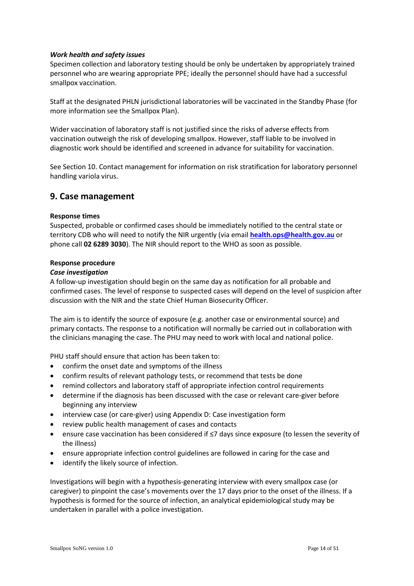## *Work health and safety issues*

Specimen collection and laboratory testing should be only be undertaken by appropriately trained personnel who are wearing appropriate PPE; ideally the personnel should have had a successful smallpox vaccination.

Staff at the designated PHLN jurisdictional laboratories will be vaccinated in the Standby Phase (for more information see the Smallpox Plan).

Wider vaccination of laboratory staff is not justified since the risks of adverse effects from vaccination outweigh the risk of developing smallpox. However, staff liable to be involved in diagnostic work should be identified and screened in advance for suitability for vaccination.

See Section [10. Contact management](#page-14-0) for information on risk stratification for laboratory personnel handling variola virus.

## <span id="page-13-0"></span>**9. Case management**

### <span id="page-13-1"></span>**Response times**

Suspected, probable or confirmed cases should be immediately notified to the central state or territory CDB who will need to notify the NIR urgently (via email **[health.ops@health.gov.au](mailto:health.ops@health.gov.au)** or phone call **02 6289 3030**). The NIR should report to the WHO as soon as possible.

### <span id="page-13-2"></span>**Response procedure**

### *Case investigation*

A follow-up investigation should begin on the same day as notification for all probable and confirmed cases. The level of response to suspected cases will depend on the level of suspicion after discussion with the NIR and the state Chief Human Biosecurity Officer.

The aim is to identify the source of exposure (e.g. another case or environmental source) and primary contacts. The response to a notification will normally be carried out in collaboration with the clinicians managing the case. The PHU may need to work with local and national police.

PHU staff should ensure that action has been taken to:

- confirm the onset date and symptoms of the illness
- confirm results of relevant pathology tests, or recommend that tests be done
- remind collectors and laboratory staff of appropriate infection control requirements
- determine if the diagnosis has been discussed with the case or relevant care-giver before beginning any interview
- interview case (or care-giver) usin[g Appendix D: Case investigation form](#page-36-0)
- review public health management of cases and contacts
- ensure case vaccination has been considered if ≤7 days since exposure (to lessen the severity of the illness)
- ensure appropriate infection control guidelines are followed in caring for the case and
- identify the likely source of infection.

Investigations will begin with a hypothesis-generating interview with every smallpox case (or caregiver) to pinpoint the case's movements over the 17 days prior to the onset of the illness. If a hypothesis is formed for the source of infection, an analytical epidemiological study may be undertaken in parallel with a police investigation.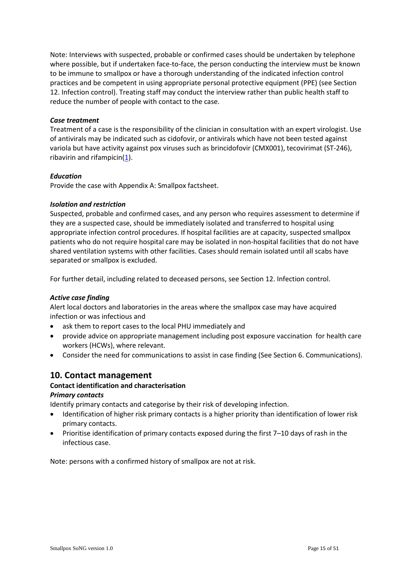Note: Interviews with suspected, probable or confirmed cases should be undertaken by telephone where possible, but if undertaken face-to-face, the person conducting the interview must be known to be immune to smallpox or have a thorough understanding of the indicated infection control practices and be competent in using appropriate personal protective equipment (PPE) (see Section [12. Infection control\)](#page-21-1). Treating staff may conduct the interview rather than public health staff to reduce the number of people with contact to the case.

## *Case treatment*

Treatment of a case is the responsibility of the clinician in consultation with an expert virologist. Use of antivirals may be indicated such as cidofovir, or antivirals which have not been tested against variola but have activity against pox viruses such as brincidofovir (CMX001), tecovirimat (ST-246), ribavirin and rifampicin( $1$ ).

## *Education*

Provide the case wit[h Appendix A: Smallpox factsheet.](#page-32-0)

## *Isolation and restriction*

Suspected, probable and confirmed cases, and any person who requires assessment to determine if they are a suspected case, should be immediately isolated and transferred to hospital using appropriate infection control procedures. If hospital facilities are at capacity, suspected smallpox patients who do not require hospital care may be isolated in non-hospital facilities that do not have shared ventilation systems with other facilities. Cases should remain isolated until all scabs have separated or smallpox is excluded.

For further detail, including related to deceased persons, see Section [12. Infection control.](#page-21-1)

## *Active case finding*

Alert local doctors and laboratories in the areas where the smallpox case may have acquired infection or was infectious and

- ask them to report cases to the local PHU immediately and
- provide advice on appropriate management including post exposure vaccination for health care workers (HCWs), where relevant.
- Consider the need for communications to assist in case finding (See Section [6. Communications\)](#page-7-1).

## <span id="page-14-0"></span>**10. Contact management**

## <span id="page-14-1"></span>**Contact identification and characterisation**

## *Primary contacts*

Identify primary contacts and categorise by their risk of developing infection.

- Identification of higher risk primary contacts is a higher priority than identification of lower risk primary contacts.
- Prioritise identification of primary contacts exposed during the first 7–10 days of rash in the infectious case.

Note: persons with a confirmed history of smallpox are not at risk.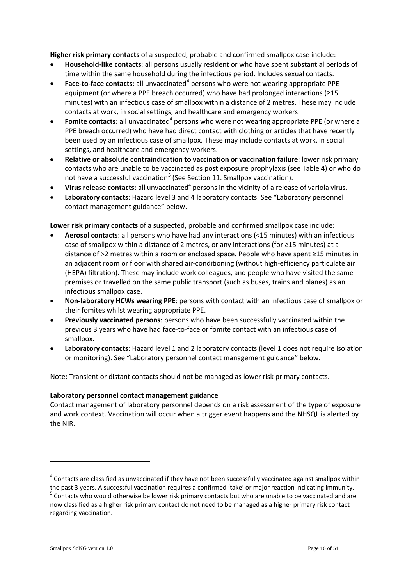**Higher risk primary contacts** of a suspected, probable and confirmed smallpox case include:

- **Household-like contacts**: all persons usually resident or who have spent substantial periods of time within the same household during the infectious period. Includes sexual contacts.
- <span id="page-15-0"></span>**Face-to-face contacts**: all unvaccinated<sup>[4](#page-15-1)</sup> persons who were not wearing appropriate PPE equipment (or where a PPE breach occurred) who have had prolonged interactions (≥15 minutes) with an infectious case of smallpox within a distance of 2 metres. These may include contacts at work, in social settings, and healthcare and emergency workers.
- **Fomite contacts**: all unvaccinated<sup>4</sup> persons who were not wearing appropriate PPE (or where a PPE breach occurred) who have had direct contact with clothing or articles that have recently been used by an infectious case of smallpox. These may include contacts at work, in social settings, and healthcare and emergency workers.
- **Relative or absolute contraindication to vaccination or vaccination failure**: lower risk primary contacts who are unable to be vaccinated as post exposure prophylaxis (see [Table 4\)](#page-20-1) or who do not have a successful vaccination<sup>[5](#page-15-2)</sup> (See Section [11. Smallpox vaccination\)](#page-19-0).
- **Virus release contacts**: all unvaccinated<sup>4</sup> persons in the vicinity of a release of variola virus.
- **Laboratory contacts**: Hazard level 3 and 4 laboratory contacts. See "Laboratory personnel contact management guidance" below.

**Lower risk primary contacts** of a suspected, probable and confirmed smallpox case include:

- **Aerosol contacts**: all persons who have had any interactions (<15 minutes) with an infectious case of smallpox within a distance of 2 metres, or any interactions (for ≥15 minutes) at a distance of >2 metres within a room or enclosed space. People who have spent ≥15 minutes in an adjacent room or floor with shared air-conditioning (without high-efficiency particulate air (HEPA) filtration). These may include work colleagues, and people who have visited the same premises or travelled on the same public transport (such as buses, trains and planes) as an infectious smallpox case.
- **Non-laboratory HCWs wearing PPE**: persons with contact with an infectious case of smallpox or their fomites whilst wearing appropriate PPE.
- **Previously vaccinated persons**: persons who have been successfully vaccinated within the previous 3 years who have had face-to-face or fomite contact with an infectious case of smallpox.
- **Laboratory contacts**: Hazard level 1 and 2 laboratory contacts (level 1 does not require isolation or monitoring). See "Laboratory personnel contact management guidance" below.

Note: Transient or distant contacts should not be managed as lower risk primary contacts.

## **Laboratory personnel contact management guidance**

Contact management of laboratory personnel depends on a risk assessment of the type of exposure and work context. Vaccination will occur when a trigger event happens and the NHSQL is alerted by the NIR.

**.** 

<span id="page-15-1"></span><sup>&</sup>lt;sup>4</sup> Contacts are classified as unvaccinated if they have not been successfully vaccinated against smallpox within

<span id="page-15-2"></span>the past 3 years. A successful vaccination requires a confirmed 'take' or major reaction indicating immunity.<br><sup>5</sup> Contacts who would otherwise be lower risk primary contacts but who are unable to be vaccinated and are now classified as a higher risk primary contact do not need to be managed as a higher primary risk contact regarding vaccination.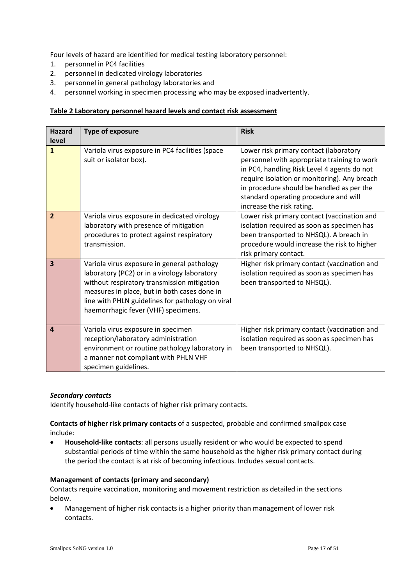Four levels of hazard are identified for medical testing laboratory personnel:

- 1. personnel in PC4 facilities
- 2. personnel in dedicated virology laboratories
- 3. personnel in general pathology laboratories and
- 4. personnel working in specimen processing who may be exposed inadvertently.

### **Table 2 Laboratory personnel hazard levels and contact risk assessment**

| <b>Hazard</b><br>level  | <b>Type of exposure</b>                                                                                                                                                                                                                                                               | <b>Risk</b>                                                                                                                                                                                                                                                                                             |
|-------------------------|---------------------------------------------------------------------------------------------------------------------------------------------------------------------------------------------------------------------------------------------------------------------------------------|---------------------------------------------------------------------------------------------------------------------------------------------------------------------------------------------------------------------------------------------------------------------------------------------------------|
| $\mathbf{1}$            | Variola virus exposure in PC4 facilities (space<br>suit or isolator box).                                                                                                                                                                                                             | Lower risk primary contact (laboratory<br>personnel with appropriate training to work<br>in PC4, handling Risk Level 4 agents do not<br>require isolation or monitoring). Any breach<br>in procedure should be handled as per the<br>standard operating procedure and will<br>increase the risk rating. |
| $\overline{2}$          | Variola virus exposure in dedicated virology<br>laboratory with presence of mitigation<br>procedures to protect against respiratory<br>transmission.                                                                                                                                  | Lower risk primary contact (vaccination and<br>isolation required as soon as specimen has<br>been transported to NHSQL). A breach in<br>procedure would increase the risk to higher<br>risk primary contact.                                                                                            |
| $\overline{\mathbf{3}}$ | Variola virus exposure in general pathology<br>laboratory (PC2) or in a virology laboratory<br>without respiratory transmission mitigation<br>measures in place, but in both cases done in<br>line with PHLN guidelines for pathology on viral<br>haemorrhagic fever (VHF) specimens. | Higher risk primary contact (vaccination and<br>isolation required as soon as specimen has<br>been transported to NHSQL).                                                                                                                                                                               |
| $\overline{a}$          | Variola virus exposure in specimen<br>reception/laboratory administration<br>environment or routine pathology laboratory in<br>a manner not compliant with PHLN VHF<br>specimen guidelines.                                                                                           | Higher risk primary contact (vaccination and<br>isolation required as soon as specimen has<br>been transported to NHSQL).                                                                                                                                                                               |

### *Secondary contacts*

Identify household-like contacts of higher risk primary contacts.

**Contacts of higher risk primary contacts** of a suspected, probable and confirmed smallpox case include:

• **Household-like contacts**: all persons usually resident or who would be expected to spend substantial periods of time within the same household as the higher risk primary contact during the period the contact is at risk of becoming infectious. Includes sexual contacts.

## <span id="page-16-0"></span>**Management of contacts (primary and secondary)**

Contacts require vaccination, monitoring and movement restriction as detailed in the sections below.

• Management of higher risk contacts is a higher priority than management of lower risk contacts.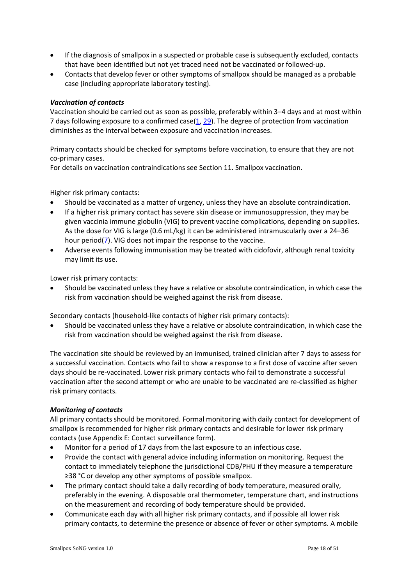- If the diagnosis of smallpox in a suspected or probable case is subsequently excluded, contacts that have been identified but not yet traced need not be vaccinated or followed-up.
- Contacts that develop fever or other symptoms of smallpox should be managed as a probable case (including appropriate laboratory testing).

## *Vaccination of contacts*

Vaccination should be carried out as soon as possible, preferably within 3–4 days and at most within 7 days following exposure to a confirmed case $(1, 29)$  $(1, 29)$ . The degree of protection from vaccination diminishes as the interval between exposure and vaccination increases.

Primary contacts should be checked for symptoms before vaccination, to ensure that they are not co-primary cases.

For details on vaccination contraindications see Section [11. Smallpox vaccination.](#page-19-0)

Higher risk primary contacts:

- Should be vaccinated as a matter of urgency, unless they have an absolute contraindication.
- If a higher risk primary contact has severe skin disease or immunosuppression, they may be given vaccinia immune globulin (VIG) to prevent vaccine complications, depending on supplies. As the dose for VIG is large (0.6 mL/kg) it can be administered intramuscularly over a 24–36 hour period[\(7\)](#page-29-7). VIG does not impair the response to the vaccine.
- Adverse events following immunisation may be treated with cidofovir, although renal toxicity may limit its use.

Lower risk primary contacts:

• Should be vaccinated unless they have a relative or absolute contraindication, in which case the risk from vaccination should be weighed against the risk from disease.

Secondary contacts (household-like contacts of higher risk primary contacts):

• Should be vaccinated unless they have a relative or absolute contraindication, in which case the risk from vaccination should be weighed against the risk from disease.

The vaccination site should be reviewed by an immunised, trained clinician after 7 days to assess for a successful vaccination. Contacts who fail to show a response to a first dose of vaccine after seven days should be re-vaccinated. Lower risk primary contacts who fail to demonstrate a successful vaccination after the second attempt or who are unable to be vaccinated are re-classified as higher risk primary contacts.

#### *Monitoring of contacts*

All primary contacts should be monitored. Formal monitoring with daily contact for development of smallpox is recommended for higher risk primary contacts and desirable for lower risk primary contacts (us[e Appendix E: Contact surveillance form\)](#page-42-0).

- Monitor for a period of 17 days from the last exposure to an infectious case.
- Provide the contact with general advice including information on monitoring. Request the contact to immediately telephone the jurisdictional CDB/PHU if they measure a temperature ≥38 °C or develop any other symptoms of possible smallpox.
- The primary contact should take a daily recording of body temperature, measured orally, preferably in the evening. A disposable oral thermometer, temperature chart, and instructions on the measurement and recording of body temperature should be provided.
- Communicate each day with all higher risk primary contacts, and if possible all lower risk primary contacts, to determine the presence or absence of fever or other symptoms. A mobile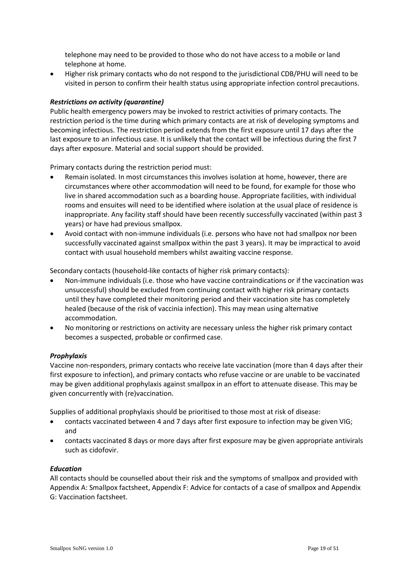telephone may need to be provided to those who do not have access to a mobile or land telephone at home.

• Higher risk primary contacts who do not respond to the jurisdictional CDB/PHU will need to be visited in person to confirm their health status using appropriate infection control precautions.

## *Restrictions on activity (quarantine)*

Public health emergency powers may be invoked to restrict activities of primary contacts. The restriction period is the time during which primary contacts are at risk of developing symptoms and becoming infectious. The restriction period extends from the first exposure until 17 days after the last exposure to an infectious case. It is unlikely that the contact will be infectious during the first 7 days after exposure. Material and social support should be provided.

Primary contacts during the restriction period must:

- Remain isolated. In most circumstances this involves isolation at home, however, there are circumstances where other accommodation will need to be found, for example for those who live in shared accommodation such as a boarding house. Appropriate facilities, with individual rooms and ensuites will need to be identified where isolation at the usual place of residence is inappropriate. Any facility staff should have been recently successfully vaccinated (within past 3 years) or have had previous smallpox.
- Avoid contact with non-immune individuals (i.e. persons who have not had smallpox nor been successfully vaccinated against smallpox within the past 3 years). It may be impractical to avoid contact with usual household members whilst awaiting vaccine response.

Secondary contacts (household-like contacts of higher risk primary contacts):

- Non-immune individuals (i.e. those who have vaccine contraindications or if the vaccination was unsuccessful) should be excluded from continuing contact with higher risk primary contacts until they have completed their monitoring period and their vaccination site has completely healed (because of the risk of vaccinia infection). This may mean using alternative accommodation.
- No monitoring or restrictions on activity are necessary unless the higher risk primary contact becomes a suspected, probable or confirmed case.

## *Prophylaxis*

Vaccine non-responders, primary contacts who receive late vaccination (more than 4 days after their first exposure to infection), and primary contacts who refuse vaccine or are unable to be vaccinated may be given additional prophylaxis against smallpox in an effort to attenuate disease. This may be given concurrently with (re)vaccination.

Supplies of additional prophylaxis should be prioritised to those most at risk of disease:

- contacts vaccinated between 4 and 7 days after first exposure to infection may be given VIG; and
- contacts vaccinated 8 days or more days after first exposure may be given appropriate antivirals such as cidofovir.

## *Education*

All contacts should be counselled about their risk and the symptoms of smallpox and provided with [Appendix A: Smallpox factsheet,](#page-32-0) [Appendix F: Advice for contacts of a case of smallpox](#page-44-0) an[d Appendix](#page-46-0)  [G: Vaccination factsheet.](#page-46-0)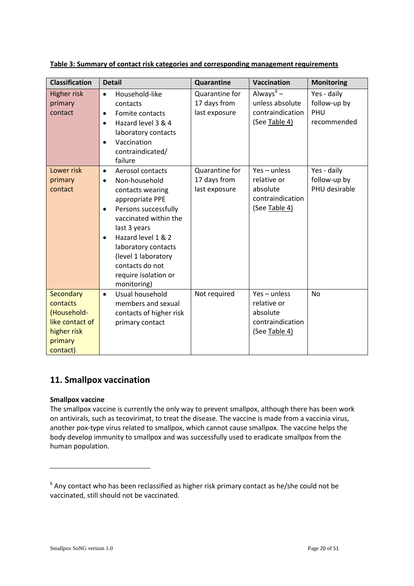| <b>Classification</b>                                                                         | <b>Detail</b>                                                                                                                                                                                                                                                                                                  | Quarantine                                      | <b>Vaccination</b>                                                             | <b>Monitoring</b>                                 |
|-----------------------------------------------------------------------------------------------|----------------------------------------------------------------------------------------------------------------------------------------------------------------------------------------------------------------------------------------------------------------------------------------------------------------|-------------------------------------------------|--------------------------------------------------------------------------------|---------------------------------------------------|
| Higher risk<br>primary<br>contact                                                             | Household-like<br>$\bullet$<br>contacts<br>Fomite contacts<br>$\bullet$<br>Hazard level 3 & 4<br>$\bullet$<br>laboratory contacts<br>Vaccination<br>$\bullet$<br>contraindicated/<br>failure                                                                                                                   | Quarantine for<br>17 days from<br>last exposure | Always $6 -$<br>unless absolute<br>contraindication<br>(See Table 4)           | Yes - daily<br>follow-up by<br>PHU<br>recommended |
| Lower risk<br>primary<br>contact                                                              | Aerosol contacts<br>$\bullet$<br>Non-household<br>$\bullet$<br>contacts wearing<br>appropriate PPE<br>Persons successfully<br>$\bullet$<br>vaccinated within the<br>last 3 years<br>Hazard level 1 & 2<br>laboratory contacts<br>(level 1 laboratory<br>contacts do not<br>require isolation or<br>monitoring) | Quarantine for<br>17 days from<br>last exposure | $Yes$ – unless<br>relative or<br>absolute<br>contraindication<br>(See Table 4) | Yes - daily<br>follow-up by<br>PHU desirable      |
| Secondary<br>contacts<br>(Household-<br>like contact of<br>higher risk<br>primary<br>contact) | Usual household<br>$\bullet$<br>members and sexual<br>contacts of higher risk<br>primary contact                                                                                                                                                                                                               | Not required                                    | $Yes$ – unless<br>relative or<br>absolute<br>contraindication<br>(See Table 4) | <b>No</b>                                         |

**Table 3: Summary of contact risk categories and corresponding management requirements**

## <span id="page-19-0"></span>**11. Smallpox vaccination**

## <span id="page-19-1"></span>**Smallpox vaccine**

**.** 

The smallpox vaccine is currently the only way to prevent smallpox, although there has been work on antivirals, such as tecovirimat, to treat the disease. The vaccine is made from a vaccinia virus, another pox-type virus related to smallpox, which cannot cause smallpox. The vaccine helps the body develop immunity to smallpox and was successfully used to eradicate smallpox from the human population.

<span id="page-19-2"></span> $6$  Any contact who has been reclassified as higher risk primary contact as he/she could not be vaccinated, still should not be vaccinated.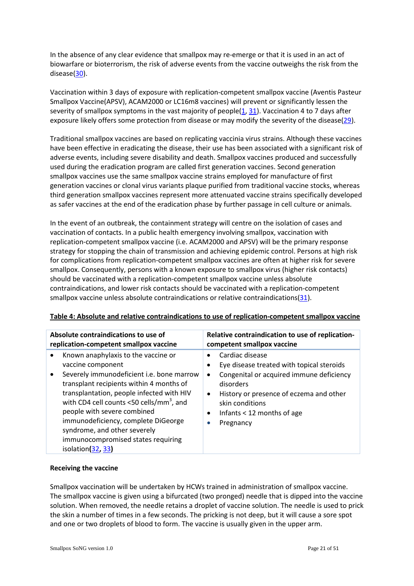In the absence of any clear evidence that smallpox may re-emerge or that it is used in an act of biowarfare or bioterrorism, the risk of adverse events from the vaccine outweighs the risk from the disease[\(30\)](#page-30-6).

Vaccination within 3 days of exposure with replication-competent smallpox vaccine (Aventis Pasteur Smallpox Vaccine(APSV), ACAM2000 or LC16m8 vaccines) will prevent or significantly lessen the severity of smallpox symptoms in the vast majority of people[\(1,](#page-29-1) [31\)](#page-30-7). Vaccination 4 to 7 days after exposure likely offers some protection from disease or may modify the severity of the disease[\(29\)](#page-30-5).

Traditional smallpox vaccines are based on replicating vaccinia virus strains. Although these vaccines have been effective in eradicating the disease, their use has been associated with a significant risk of adverse events, including severe disability and death. Smallpox vaccines produced and successfully used during the eradication program are called first generation vaccines. Second generation smallpox vaccines use the same smallpox vaccine strains employed for manufacture of first generation vaccines or clonal virus variants plaque purified from traditional vaccine stocks, whereas third generation smallpox vaccines represent more attenuated vaccine strains specifically developed as safer vaccines at the end of the eradication phase by further passage in cell culture or animals.

In the event of an outbreak, the containment strategy will centre on the isolation of cases and vaccination of contacts. In a public health emergency involving smallpox, vaccination with replication-competent smallpox vaccine (i.e. ACAM2000 and APSV) will be the primary response strategy for stopping the chain of transmission and achieving epidemic control. Persons at high risk for complications from replication-competent smallpox vaccines are often at higher risk for severe smallpox. Consequently, persons with a known exposure to smallpox virus (higher risk contacts) should be vaccinated with a replication-competent smallpox vaccine unless absolute contraindications, and lower risk contacts should be vaccinated with a replication-competent smallpox vaccine unless absolute contraindications or relative contraindications[\(31\)](#page-30-7).

| Absolute contraindications to use of                                                                                                                                                                                                                                                                                                                                                                                    | Relative contraindication to use of replication-                                                                                                                                                                                                                                   |  |  |
|-------------------------------------------------------------------------------------------------------------------------------------------------------------------------------------------------------------------------------------------------------------------------------------------------------------------------------------------------------------------------------------------------------------------------|------------------------------------------------------------------------------------------------------------------------------------------------------------------------------------------------------------------------------------------------------------------------------------|--|--|
| replication-competent smallpox vaccine                                                                                                                                                                                                                                                                                                                                                                                  | competent smallpox vaccine                                                                                                                                                                                                                                                         |  |  |
| Known anaphylaxis to the vaccine or<br>vaccine component<br>Severely immunodeficient i.e. bone marrow<br>transplant recipients within 4 months of<br>transplantation, people infected with HIV<br>with CD4 cell counts <50 cells/mm <sup>3</sup> , and<br>people with severe combined<br>immunodeficiency, complete DiGeorge<br>syndrome, and other severely<br>immunocompromised states requiring<br>isolation(32, 33) | Cardiac disease<br>Eye disease treated with topical steroids<br>Congenital or acquired immune deficiency<br>$\bullet$<br>disorders<br>History or presence of eczema and other<br>$\bullet$<br>skin conditions<br>Infants < 12 months of age<br>$\bullet$<br>Pregnancy<br>$\bullet$ |  |  |

## <span id="page-20-1"></span>**Table 4: Absolute and relative contraindications to use of replication-competent smallpox vaccine**

## <span id="page-20-0"></span>**Receiving the vaccine**

Smallpox vaccination will be undertaken by HCWs trained in administration of smallpox vaccine. The smallpox vaccine is given using a bifurcated (two pronged) needle that is dipped into the vaccine solution. When removed, the needle retains a droplet of vaccine solution. The needle is used to prick the skin a number of times in a few seconds. The pricking is not deep, but it will cause a sore spot and one or two droplets of blood to form. The vaccine is usually given in the upper arm.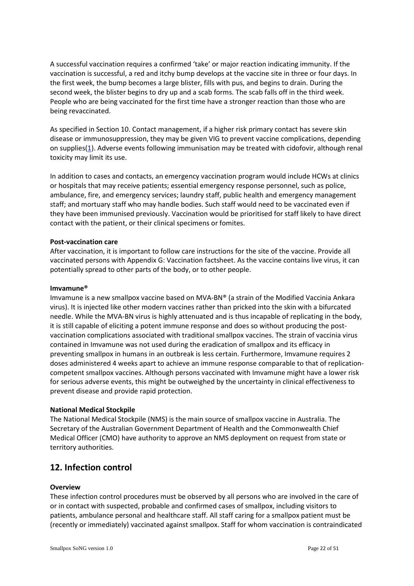A successful vaccination requires a confirmed 'take' or major reaction indicating immunity. If the vaccination is successful, a red and itchy bump develops at the vaccine site in three or four days. In the first week, the bump becomes a large blister, fills with pus, and begins to drain. During the second week, the blister begins to dry up and a scab forms. The scab falls off in the third week. People who are being vaccinated for the first time have a stronger reaction than those who are being revaccinated.

As specified in Section [10. Contact management,](#page-14-0) if a higher risk primary contact has severe skin disease or immunosuppression, they may be given VIG to prevent vaccine complications, depending on supplies[\(1\)](#page-29-1). Adverse events following immunisation may be treated with cidofovir, although renal toxicity may limit its use.

In addition to cases and contacts, an emergency vaccination program would include HCWs at clinics or hospitals that may receive patients; essential emergency response personnel, such as police, ambulance, fire, and emergency services; laundry staff, public health and emergency management staff; and mortuary staff who may handle bodies. Such staff would need to be vaccinated even if they have been immunised previously. Vaccination would be prioritised for staff likely to have direct contact with the patient, or their clinical specimens or fomites.

### <span id="page-21-0"></span>**Post-vaccination care**

After vaccination, it is important to follow care instructions for the site of the vaccine. Provide all vaccinated persons wit[h Appendix G: Vaccination factsheet.](#page-46-0) As the vaccine contains live virus, it can potentially spread to other parts of the body, or to other people.

#### **Imvamune®**

Imvamune is a new smallpox vaccine based on MVA-BN® (a strain of the Modified Vaccinia Ankara virus). It is injected like other modern vaccines rather than pricked into the skin with a bifurcated needle. While the MVA-BN virus is highly attenuated and is thus incapable of replicating in the body, it is still capable of eliciting a potent immune response and does so without producing the postvaccination complications associated with traditional smallpox vaccines. The strain of vaccinia virus contained in Imvamune was not used during the eradication of smallpox and its efficacy in preventing smallpox in humans in an outbreak is less certain. Furthermore, Imvamune requires 2 doses administered 4 weeks apart to achieve an immune response comparable to that of replicationcompetent smallpox vaccines. Although persons vaccinated with Imvamune might have a lower risk for serious adverse events, this might be outweighed by the uncertainty in clinical effectiveness to prevent disease and provide rapid protection.

## **National Medical Stockpile**

The National Medical Stockpile (NMS) is the main source of smallpox vaccine in Australia. The Secretary of the Australian Government Department of Health and the Commonwealth Chief Medical Officer (CMO) have authority to approve an NMS deployment on request from state or territory authorities.

## <span id="page-21-1"></span>**12. Infection control**

## <span id="page-21-2"></span>**Overview**

These infection control procedures must be observed by all persons who are involved in the care of or in contact with suspected, probable and confirmed cases of smallpox, including visitors to patients, ambulance personal and healthcare staff. All staff caring for a smallpox patient must be (recently or immediately) vaccinated against smallpox. Staff for whom vaccination is contraindicated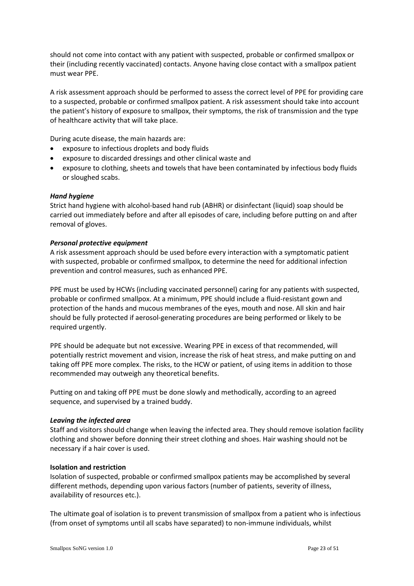should not come into contact with any patient with suspected, probable or confirmed smallpox or their (including recently vaccinated) contacts. Anyone having close contact with a smallpox patient must wear PPE.

A risk assessment approach should be performed to assess the correct level of PPE for providing care to a suspected, probable or confirmed smallpox patient. A risk assessment should take into account the patient's history of exposure to smallpox, their symptoms, the risk of transmission and the type of healthcare activity that will take place.

During acute disease, the main hazards are:

- exposure to infectious droplets and body fluids
- exposure to discarded dressings and other clinical waste and
- exposure to clothing, sheets and towels that have been contaminated by infectious body fluids or sloughed scabs.

#### *Hand hygiene*

Strict hand hygiene with alcohol-based hand rub (ABHR) or disinfectant (liquid) soap should be carried out immediately before and after all episodes of care, including before putting on and after removal of gloves.

#### *Personal protective equipment*

A risk assessment approach should be used before every interaction with a symptomatic patient with suspected, probable or confirmed smallpox, to determine the need for additional infection prevention and control measures, such as enhanced PPE.

PPE must be used by HCWs (including vaccinated personnel) caring for any patients with suspected, probable or confirmed smallpox. At a minimum, PPE should include a fluid-resistant gown and protection of the hands and mucous membranes of the eyes, mouth and nose. All skin and hair should be fully protected if aerosol-generating procedures are being performed or likely to be required urgently.

PPE should be adequate but not excessive. Wearing PPE in excess of that recommended, will potentially restrict movement and vision, increase the risk of heat stress, and make putting on and taking off PPE more complex. The risks, to the HCW or patient, of using items in addition to those recommended may outweigh any theoretical benefits.

Putting on and taking off PPE must be done slowly and methodically, according to an agreed sequence, and supervised by a trained buddy.

#### *Leaving the infected area*

Staff and visitors should change when leaving the infected area. They should remove isolation facility clothing and shower before donning their street clothing and shoes. Hair washing should not be necessary if a hair cover is used.

#### <span id="page-22-0"></span>**Isolation and restriction**

Isolation of suspected, probable or confirmed smallpox patients may be accomplished by several different methods, depending upon various factors (number of patients, severity of illness, availability of resources etc.).

The ultimate goal of isolation is to prevent transmission of smallpox from a patient who is infectious (from onset of symptoms until all scabs have separated) to non-immune individuals, whilst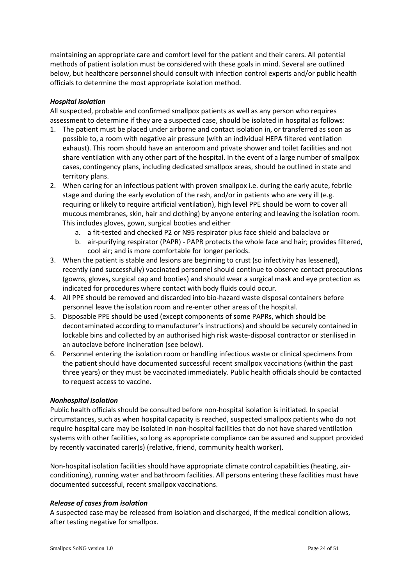maintaining an appropriate care and comfort level for the patient and their carers. All potential methods of patient isolation must be considered with these goals in mind. Several are outlined below, but healthcare personnel should consult with infection control experts and/or public health officials to determine the most appropriate isolation method.

### *Hospital isolation*

All suspected, probable and confirmed smallpox patients as well as any person who requires assessment to determine if they are a suspected case, should be isolated in hospital as follows:

- 1. The patient must be placed under airborne and contact isolation in, or transferred as soon as possible to, a room with negative air pressure (with an individual HEPA filtered ventilation exhaust). This room should have an anteroom and private shower and toilet facilities and not share ventilation with any other part of the hospital. In the event of a large number of smallpox cases, contingency plans, including dedicated smallpox areas, should be outlined in state and territory plans.
- 2. When caring for an infectious patient with proven smallpox i.e. during the early acute, febrile stage and during the early evolution of the rash, and/or in patients who are very ill (e.g. requiring or likely to require artificial ventilation), high level PPE should be worn to cover all mucous membranes, skin, hair and clothing) by anyone entering and leaving the isolation room. This includes gloves, gown, surgical booties and either
	- a. a fit-tested and checked P2 or N95 respirator plus face shield and balaclava or
	- b. air-purifying respirator (PAPR) PAPR protects the whole face and hair; provides filtered, cool air; and is more comfortable for longer periods.
- 3. When the patient is stable and lesions are beginning to crust (so infectivity has lessened), recently (and successfully) vaccinated personnel should continue to observe contact precautions (gowns, gloves**,** surgical cap and booties) and should wear a surgical mask and eye protection as indicated for procedures where contact with body fluids could occur.
- 4. All PPE should be removed and discarded into bio-hazard waste disposal containers before personnel leave the isolation room and re-enter other areas of the hospital.
- 5. Disposable PPE should be used (except components of some PAPRs, which should be decontaminated according to manufacturer's instructions) and should be securely contained in lockable bins and collected by an authorised high risk waste-disposal contractor or sterilised in an autoclave before incineration (see below).
- 6. Personnel entering the isolation room or handling infectious waste or clinical specimens from the patient should have documented successful recent smallpox vaccinations (within the past three years) or they must be vaccinated immediately. Public health officials should be contacted to request access to vaccine.

#### *Nonhospital isolation*

Public health officials should be consulted before non-hospital isolation is initiated. In special circumstances, such as when hospital capacity is reached, suspected smallpox patients who do not require hospital care may be isolated in non-hospital facilities that do not have shared ventilation systems with other facilities, so long as appropriate compliance can be assured and support provided by recently vaccinated carer(s) (relative, friend, community health worker).

Non-hospital isolation facilities should have appropriate climate control capabilities (heating, airconditioning), running water and bathroom facilities. All persons entering these facilities must have documented successful, recent smallpox vaccinations.

#### *Release of cases from isolation*

A suspected case may be released from isolation and discharged, if the medical condition allows, after testing negative for smallpox.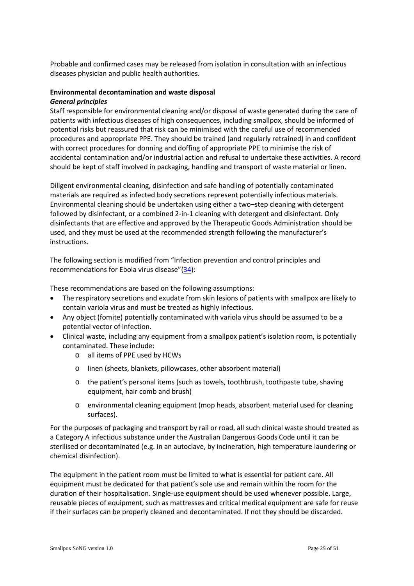Probable and confirmed cases may be released from isolation in consultation with an infectious diseases physician and public health authorities.

## <span id="page-24-0"></span>**Environmental decontamination and waste disposal** *General principles*

Staff responsible for environmental cleaning and/or disposal of waste generated during the care of patients with infectious diseases of high consequences, including smallpox, should be informed of potential risks but reassured that risk can be minimised with the careful use of recommended procedures and appropriate PPE. They should be trained (and regularly retrained) in and confident with correct procedures for donning and doffing of appropriate PPE to minimise the risk of accidental contamination and/or industrial action and refusal to undertake these activities. A record should be kept of staff involved in packaging, handling and transport of waste material or linen.

Diligent environmental cleaning, disinfection and safe handling of potentially contaminated materials are required as infected body secretions represent potentially infectious materials. Environmental cleaning should be undertaken using either a two–step cleaning with detergent followed by disinfectant, or a combined 2-in-1 cleaning with detergent and disinfectant. Only disinfectants that are effective and approved by the Therapeutic Goods Administration should be used, and they must be used at the recommended strength following the manufacturer's instructions.

The following section is modified from "Infection prevention and control principles and recommendations for Ebola virus disease" $(34)$ :

These recommendations are based on the following assumptions:

- The respiratory secretions and exudate from skin lesions of patients with smallpox are likely to contain variola virus and must be treated as highly infectious.
- Any object (fomite) potentially contaminated with variola virus should be assumed to be a potential vector of infection.
- Clinical waste, including any equipment from a smallpox patient's isolation room, is potentially contaminated. These include:
	- o all items of PPE used by HCWs
	- o linen (sheets, blankets, pillowcases, other absorbent material)
	- o the patient's personal items (such as towels, toothbrush, toothpaste tube, shaving equipment, hair comb and brush)
	- o environmental cleaning equipment (mop heads, absorbent material used for cleaning surfaces).

For the purposes of packaging and transport by rail or road, all such clinical waste should treated as a Category A infectious substance under the Australian Dangerous Goods Code until it can be sterilised or decontaminated (e.g. in an autoclave, by incineration, high temperature laundering or chemical disinfection).

The equipment in the patient room must be limited to what is essential for patient care. All equipment must be dedicated for that patient's sole use and remain within the room for the duration of their hospitalisation. Single-use equipment should be used whenever possible. Large, reusable pieces of equipment, such as mattresses and critical medical equipment are safe for reuse if their surfaces can be properly cleaned and decontaminated. If not they should be discarded.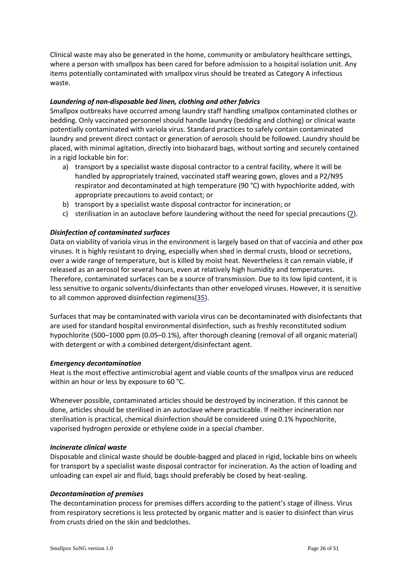Clinical waste may also be generated in the home, community or ambulatory healthcare settings, where a person with smallpox has been cared for before admission to a hospital isolation unit. Any items potentially contaminated with smallpox virus should be treated as Category A infectious waste.

## *Laundering of non-disposable bed linen, clothing and other fabrics*

Smallpox outbreaks have occurred among laundry staff handling smallpox contaminated clothes or bedding. Only vaccinated personnel should handle laundry (bedding and clothing) or clinical waste potentially contaminated with variola virus. Standard practices to safely contain contaminated laundry and prevent direct contact or generation of aerosols should be followed. Laundry should be placed, with minimal agitation, directly into biohazard bags, without sorting and securely contained in a rigid lockable bin for:

- a) transport by a specialist waste disposal contractor to a central facility, where it will be handled by appropriately trained, vaccinated staff wearing gown, gloves and a P2/N95 respirator and decontaminated at high temperature (90 °C) with hypochlorite added, with appropriate precautions to avoid contact; or
- b) transport by a specialist waste disposal contractor for incineration; or
- c) sterilisation in an autoclave before laundering without the need for special precautions [\(7\)](#page-29-7).

## *Disinfection of contaminated surfaces*

Data on viability of variola virus in the environment is largely based on that of vaccinia and other pox viruses. It is highly resistant to drying, especially when shed in dermal crusts, blood or secretions, over a wide range of temperature, but is killed by moist heat. Nevertheless it can remain viable, if released as an aerosol for several hours, even at relatively high humidity and temperatures. Therefore, contaminated surfaces can be a source of transmission. Due to its low lipid content, it is less sensitive to organic solvents/disinfectants than other enveloped viruses. However, it is sensitive to all common approved disinfection regimens[\(35\)](#page-30-11).

Surfaces that may be contaminated with variola virus can be decontaminated with disinfectants that are used for standard hospital environmental disinfection, such as freshly reconstituted sodium hypochlorite (500–1000 ppm (0.05–0.1%), after thorough cleaning (removal of all organic material) with detergent or with a combined detergent/disinfectant agent.

## *Emergency decontamination*

Heat is the most effective antimicrobial agent and viable counts of the smallpox virus are reduced within an hour or less by exposure to 60 °C.

Whenever possible, contaminated articles should be destroyed by incineration. If this cannot be done, articles should be sterilised in an autoclave where practicable. If neither incineration nor sterilisation is practical, chemical disinfection should be considered using 0.1% hypochlorite, vaporised hydrogen peroxide or ethylene oxide in a special chamber.

## *Incinerate clinical waste*

Disposable and clinical waste should be double-bagged and placed in rigid, lockable bins on wheels for transport by a specialist waste disposal contractor for incineration. As the action of loading and unloading can expel air and fluid, bags should preferably be closed by heat-sealing.

## *Decontamination of premises*

The decontamination process for premises differs according to the patient's stage of illness. Virus from respiratory secretions is less protected by organic matter and is easier to disinfect than virus from crusts dried on the skin and bedclothes.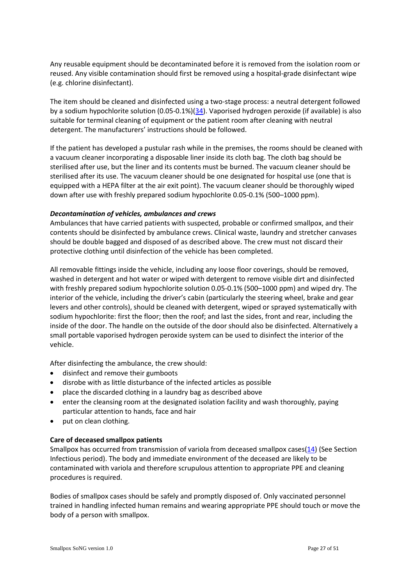Any reusable equipment should be decontaminated before it is removed from the isolation room or reused. Any visible contamination should first be removed using a hospital-grade disinfectant wipe (e.g. chlorine disinfectant).

The item should be cleaned and disinfected using a two-stage process: a neutral detergent followed by a sodium hypochlorite solution (0.05-0.1%)[\(34\)](#page-30-10). Vaporised hydrogen peroxide (if available) is also suitable for terminal cleaning of equipment or the patient room after cleaning with neutral detergent. The manufacturers' instructions should be followed.

If the patient has developed a pustular rash while in the premises, the rooms should be cleaned with a vacuum cleaner incorporating a disposable liner inside its cloth bag. The cloth bag should be sterilised after use, but the liner and its contents must be burned. The vacuum cleaner should be sterilised after its use. The vacuum cleaner should be one designated for hospital use (one that is equipped with a HEPA filter at the air exit point). The vacuum cleaner should be thoroughly wiped down after use with freshly prepared sodium hypochlorite 0.05-0.1% (500–1000 ppm).

## *Decontamination of vehicles, ambulances and crews*

Ambulances that have carried patients with suspected, probable or confirmed smallpox, and their contents should be disinfected by ambulance crews. Clinical waste, laundry and stretcher canvases should be double bagged and disposed of as described above. The crew must not discard their protective clothing until disinfection of the vehicle has been completed.

All removable fittings inside the vehicle, including any loose floor coverings, should be removed, washed in detergent and hot water or wiped with detergent to remove visible dirt and disinfected with freshly prepared sodium hypochlorite solution 0.05-0.1% (500–1000 ppm) and wiped dry. The interior of the vehicle, including the driver's cabin (particularly the steering wheel, brake and gear levers and other controls), should be cleaned with detergent, wiped or sprayed systematically with sodium hypochlorite: first the floor; then the roof; and last the sides, front and rear, including the inside of the door. The handle on the outside of the door should also be disinfected. Alternatively a small portable vaporised hydrogen peroxide system can be used to disinfect the interior of the vehicle.

After disinfecting the ambulance, the crew should:

- disinfect and remove their gumboots
- disrobe with as little disturbance of the infected articles as possible
- place the discarded clothing in a laundry bag as described above
- enter the cleansing room at the designated isolation facility and wash thoroughly, paying particular attention to hands, face and hair
- put on clean clothing.

#### <span id="page-26-0"></span>**Care of deceased smallpox patients**

Smallpox has occurred from transmission of variola from deceased smallpox cases[\(14\)](#page-29-14) (See Section [Infectious period\)](#page-5-0). The body and immediate environment of the deceased are likely to be contaminated with variola and therefore scrupulous attention to appropriate PPE and cleaning procedures is required.

Bodies of smallpox cases should be safely and promptly disposed of. Only vaccinated personnel trained in handling infected human remains and wearing appropriate PPE should touch or move the body of a person with smallpox.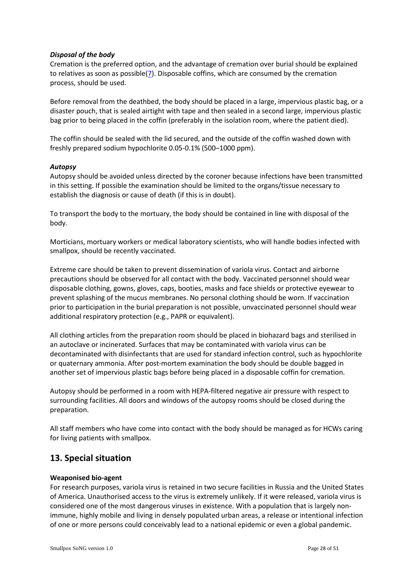## *Disposal of the body*

Cremation is the preferred option, and the advantage of cremation over burial should be explained to relatives as soon as possible[\(7\)](#page-29-7). Disposable coffins, which are consumed by the cremation process, should be used.

Before removal from the deathbed, the body should be placed in a large, impervious plastic bag, or a disaster pouch, that is sealed airtight with tape and then sealed in a second large, impervious plastic bag prior to being placed in the coffin (preferably in the isolation room, where the patient died).

The coffin should be sealed with the lid secured, and the outside of the coffin washed down with freshly prepared sodium hypochlorite 0.05-0.1% (500–1000 ppm).

### *Autopsy*

Autopsy should be avoided unless directed by the coroner because infections have been transmitted in this setting. If possible the examination should be limited to the organs/tissue necessary to establish the diagnosis or cause of death (if this is in doubt).

To transport the body to the mortuary, the body should be contained in line with disposal of the body.

Morticians, mortuary workers or medical laboratory scientists, who will handle bodies infected with smallpox, should be recently vaccinated.

Extreme care should be taken to prevent dissemination of variola virus. Contact and airborne precautions should be observed for all contact with the body. Vaccinated personnel should wear disposable clothing, gowns, gloves, caps, booties, masks and face shields or protective eyewear to prevent splashing of the mucus membranes. No personal clothing should be worn. If vaccination prior to participation in the burial preparation is not possible, unvaccinated personnel should wear additional respiratory protection (e.g., PAPR or equivalent).

All clothing articles from the preparation room should be placed in biohazard bags and sterilised in an autoclave or incinerated. Surfaces that may be contaminated with variola virus can be decontaminated with disinfectants that are used for standard infection control, such as hypochlorite or quaternary ammonia. After post-mortem examination the body should be double bagged in another set of impervious plastic bags before being placed in a disposable coffin for cremation.

Autopsy should be performed in a room with HEPA-filtered negative air pressure with respect to surrounding facilities. All doors and windows of the autopsy rooms should be closed during the preparation.

All staff members who have come into contact with the body should be managed as for HCWs caring for living patients with smallpox.

## <span id="page-27-0"></span>**13. Special situation**

## <span id="page-27-1"></span>**Weaponised bio-agent**

For research purposes, variola virus is retained in two secure facilities in Russia and the United States of America. Unauthorised access to the virus is extremely unlikely. If it were released, variola virus is considered one of the most dangerous viruses in existence. With a population that is largely nonimmune, highly mobile and living in densely populated urban areas, a release or intentional infection of one or more persons could conceivably lead to a national epidemic or even a global pandemic.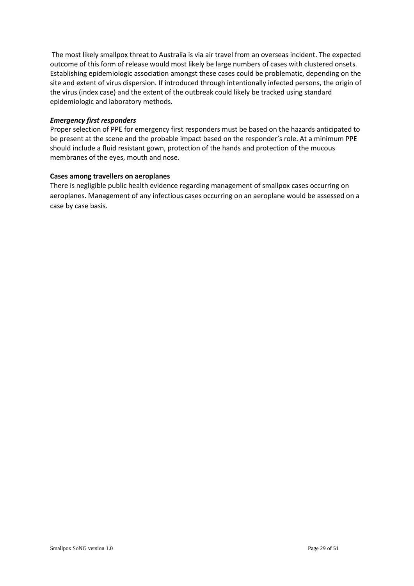The most likely smallpox threat to Australia is via air travel from an overseas incident. The expected outcome of this form of release would most likely be large numbers of cases with clustered onsets. Establishing epidemiologic association amongst these cases could be problematic, depending on the site and extent of virus dispersion. If introduced through intentionally infected persons, the origin of the virus (index case) and the extent of the outbreak could likely be tracked using standard epidemiologic and laboratory methods.

## *Emergency first responders*

Proper selection of PPE for emergency first responders must be based on the hazards anticipated to be present at the scene and the probable impact based on the responder's role. At a minimum PPE should include a fluid resistant gown, protection of the hands and protection of the mucous membranes of the eyes, mouth and nose.

### <span id="page-28-0"></span>**Cases among travellers on aeroplanes**

There is negligible public health evidence regarding management of smallpox cases occurring on aeroplanes. Management of any infectious cases occurring on an aeroplane would be assessed on a case by case basis.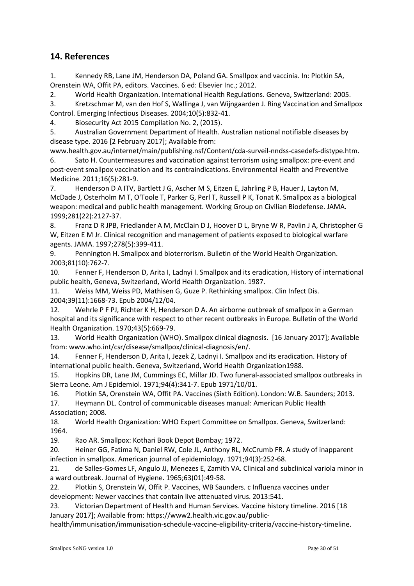## <span id="page-29-0"></span>**14. References**

<span id="page-29-1"></span>1. Kennedy RB, Lane JM, Henderson DA, Poland GA. Smallpox and vaccinia. In: Plotkin SA, Orenstein WA, Offit PA, editors. Vaccines. 6 ed: Elsevier Inc.; 2012.

<span id="page-29-2"></span>2. World Health Organization. International Health Regulations. Geneva, Switzerland: 2005.

<span id="page-29-3"></span>3. Kretzschmar M, van den Hof S, Wallinga J, van Wijngaarden J. Ring Vaccination and Smallpox Control. Emerging Infectious Diseases. 2004;10(5):832-41.

<span id="page-29-4"></span>4. Biosecurity Act 2015 Compilation No. 2, (2015).

<span id="page-29-5"></span>5. Australian Government Department of Health. Australian national notifiable diseases by disease type. 2016 [2 February 2017]; Available from:

www.health.gov.au/internet/main/publishing.nsf/Content/cda-surveil-nndss-casedefs-distype.htm. 6. Sato H. Countermeasures and vaccination against terrorism using smallpox: pre-event and

<span id="page-29-6"></span>post-event smallpox vaccination and its contraindications. Environmental Health and Preventive Medicine. 2011;16(5):281-9.

<span id="page-29-7"></span>7. Henderson D A ITV, Bartlett J G, Ascher M S, Eitzen E, Jahrling P B, Hauer J, Layton M, McDade J, Osterholm M T, O'Toole T, Parker G, Perl T, Russell P K, Tonat K. Smallpox as a biological weapon: medical and public health management. Working Group on Civilian Biodefense. JAMA. 1999;281(22):2127-37.

<span id="page-29-8"></span>8. Franz D R JPB, Friedlander A M, McClain D J, Hoover D L, Bryne W R, Pavlin J A, Christopher G W, Eitzen E M Jr. Clinical recognition and management of patients exposed to biological warfare agents. JAMA. 1997;278(5):399-411.

<span id="page-29-9"></span>9. Pennington H. Smallpox and bioterrorism. Bulletin of the World Health Organization. 2003;81(10):762-7.

<span id="page-29-10"></span>10. Fenner F, Henderson D, Arita I, Ladnyi I. Smallpox and its eradication, History of international public health, Geneva, Switzerland, World Health Organization. 1987.

<span id="page-29-11"></span>11. Weiss MM, Weiss PD, Mathisen G, Guze P. Rethinking smallpox. Clin Infect Dis. 2004;39(11):1668-73. Epub 2004/12/04.

<span id="page-29-12"></span>12. Wehrle P F PJ, Richter K H, Henderson D A. An airborne outbreak of smallpox in a German hospital and its significance with respect to other recent outbreaks in Europe. Bulletin of the World Health Organization. 1970;43(5):669-79.

<span id="page-29-13"></span>13. World Health Organization (WHO). Smallpox clinical diagnosis. [16 January 2017]; Available from: www.who.int/csr/disease/smallpox/clinical-diagnosis/en/.

<span id="page-29-14"></span>14. Fenner F, Henderson D, Arita I, Jezek Z, Ladnyi I. Smallpox and its eradication. History of international public health. Geneva, Switzerland, World Health Organization1988.

<span id="page-29-15"></span>15. Hopkins DR, Lane JM, Cummings EC, Millar JD. Two funeral-associated smallpox outbreaks in Sierra Leone. Am J Epidemiol. 1971;94(4):341-7. Epub 1971/10/01.

<span id="page-29-16"></span>16. Plotkin SA, Orenstein WA, Offit PA. Vaccines (Sixth Edition). London: W.B. Saunders; 2013.

<span id="page-29-17"></span>17. Heymann DL. Control of communicable diseases manual: American Public Health Association; 2008.

<span id="page-29-18"></span>18. World Health Organization: WHO Expert Committee on Smallpox. Geneva, Switzerland: 1964.

<span id="page-29-19"></span>19. Rao AR. Smallpox: Kothari Book Depot Bombay; 1972.

<span id="page-29-20"></span>20. Heiner GG, Fatima N, Daniel RW, Cole JL, Anthony RL, McCrumb FR. A study of inapparent infection in smallpox. American journal of epidemiology. 1971;94(3):252-68.

<span id="page-29-21"></span>21. de Salles-Gomes LF, Angulo JJ, Menezes E, Zamith VA. Clinical and subclinical variola minor in a ward outbreak. Journal of Hygiene. 1965;63(01):49-58.

<span id="page-29-22"></span>22. Plotkin S, Orenstein W, Offit P. Vaccines, WB Saunders. c Influenza vaccines under development: Newer vaccines that contain live attenuated virus. 2013:541.

<span id="page-29-23"></span>23. Victorian Department of Health and Human Services. Vaccine history timeline. 2016 [18 January 2017]; Available from: https://www2.health.vic.gov.au/public-

health/immunisation/immunisation-schedule-vaccine-eligibility-criteria/vaccine-history-timeline.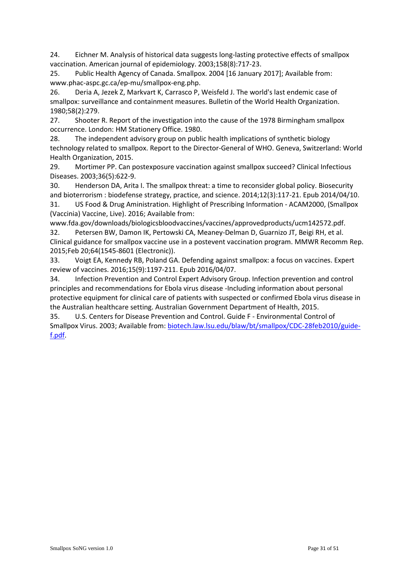<span id="page-30-0"></span>24. Eichner M. Analysis of historical data suggests long-lasting protective effects of smallpox vaccination. American journal of epidemiology. 2003;158(8):717-23.

<span id="page-30-1"></span>25. Public Health Agency of Canada. Smallpox. 2004 [16 January 2017]; Available from: www.phac-aspc.gc.ca/ep-mu/smallpox-eng.php.

<span id="page-30-2"></span>26. Deria A, Jezek Z, Markvart K, Carrasco P, Weisfeld J. The world's last endemic case of smallpox: surveillance and containment measures. Bulletin of the World Health Organization. 1980;58(2):279.

<span id="page-30-3"></span>27. Shooter R. Report of the investigation into the cause of the 1978 Birmingham smallpox occurrence. London: HM Stationery Office. 1980.

<span id="page-30-4"></span>28. The independent advisory group on public health implications of synthetic biology technology related to smallpox. Report to the Director-General of WHO. Geneva, Switzerland: World Health Organization, 2015.

<span id="page-30-5"></span>29. Mortimer PP. Can postexposure vaccination against smallpox succeed? Clinical Infectious Diseases. 2003;36(5):622-9.

<span id="page-30-6"></span>30. Henderson DA, Arita I. The smallpox threat: a time to reconsider global policy. Biosecurity and bioterrorism : biodefense strategy, practice, and science. 2014;12(3):117-21. Epub 2014/04/10. 31. US Food & Drug Aministration. Highlight of Prescribing Information - ACAM2000, (Smallpox

<span id="page-30-7"></span>(Vaccinia) Vaccine, Live). 2016; Available from:

<span id="page-30-8"></span>www.fda.gov/downloads/biologicsbloodvaccines/vaccines/approvedproducts/ucm142572.pdf. 32. Petersen BW, Damon IK, Pertowski CA, Meaney-Delman D, Guarnizo JT, Beigi RH, et al.

Clinical guidance for smallpox vaccine use in a postevent vaccination program. MMWR Recomm Rep. 2015;Feb 20;64(1545-8601 (Electronic)).

<span id="page-30-9"></span>33. Voigt EA, Kennedy RB, Poland GA. Defending against smallpox: a focus on vaccines. Expert review of vaccines. 2016;15(9):1197-211. Epub 2016/04/07.

<span id="page-30-10"></span>34. Infection Prevention and Control Expert Advisory Group. Infection prevention and control principles and recommendations for Ebola virus disease -Including information about personal protective equipment for clinical care of patients with suspected or confirmed Ebola virus disease in the Australian healthcare setting. Australian Government Department of Health, 2015.

<span id="page-30-11"></span>35. U.S. Centers for Disease Prevention and Control. Guide F - Environmental Control of Smallpox Virus. 2003; Available from: [biotech.law.lsu.edu/blaw/bt/smallpox/CDC-28feb2010/guide](http://biotech.law.lsu.edu/blaw/bt/smallpox/CDC-28feb2010/guide-f.pdf)[f.pdf.](http://biotech.law.lsu.edu/blaw/bt/smallpox/CDC-28feb2010/guide-f.pdf)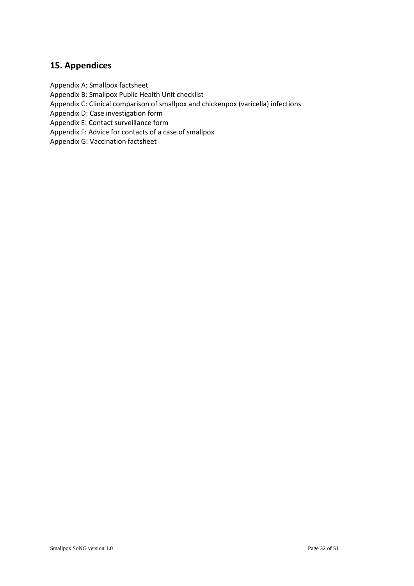## <span id="page-31-0"></span>**15. Appendices**

[Appendix A: Smallpox factsheet](#page-32-0) [Appendix B: Smallpox Public Health Unit checklist](#page-34-0) [Appendix C: Clinical comparison of smallpox and chickenpox \(varicella\) infections](#page-35-1) [Appendix D: Case investigation form](#page-36-0) [Appendix E: Contact surveillance form](#page-42-0) [Appendix F: Advice for contacts of a case of smallpox](#page-44-0) [Appendix G: Vaccination factsheet](#page-46-0)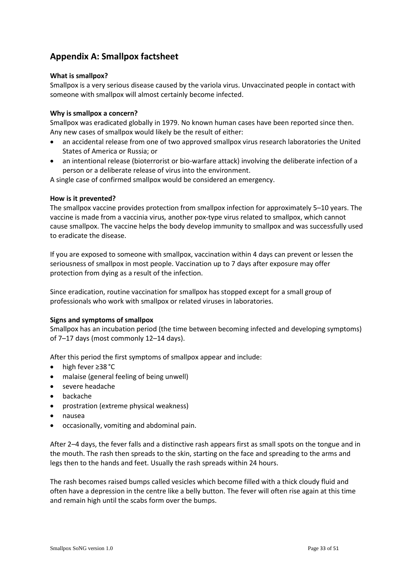## <span id="page-32-0"></span>**Appendix A: Smallpox factsheet**

## **What is smallpox?**

Smallpox is a very serious disease caused by the variola virus. Unvaccinated people in contact with someone with smallpox will almost certainly become infected.

### **Why is smallpox a concern?**

Smallpox was eradicated globally in 1979. No known human cases have been reported since then. Any new cases of smallpox would likely be the result of either:

- an accidental release from one of two approved smallpox virus research laboratories the United States of America or Russia; or
- an intentional release (bioterrorist or bio-warfare attack) involving the deliberate infection of a person or a deliberate release of virus into the environment.

A single case of confirmed smallpox would be considered an emergency.

### **How is it prevented?**

The smallpox vaccine provides protection from smallpox infection for approximately 5–10 years. The vaccine is made from a vaccinia virus*,* another pox-type virus related to smallpox, which cannot cause smallpox. The vaccine helps the body develop immunity to smallpox and was successfully used to eradicate the disease.

If you are exposed to someone with smallpox, vaccination within 4 days can prevent or lessen the seriousness of smallpox in most people. Vaccination up to 7 days after exposure may offer protection from dying as a result of the infection.

Since eradication, routine vaccination for smallpox has stopped except for a small group of professionals who work with smallpox or related viruses in laboratories.

#### **Signs and symptoms of smallpox**

Smallpox has an incubation period (the time between becoming infected and developing symptoms) of 7–17 days (most commonly 12–14 days).

After this period the first symptoms of smallpox appear and include:

- high fever ≥38 °C
- malaise (general feeling of being unwell)
- severe headache
- backache
- prostration (extreme physical weakness)
- nausea
- occasionally, vomiting and abdominal pain.

After 2–4 days, the fever falls and a distinctive rash appears first as small spots on the tongue and in the mouth. The rash then spreads to the skin, starting on the face and spreading to the arms and legs then to the hands and feet. Usually the rash spreads within 24 hours.

The rash becomes raised bumps called vesicles which become filled with a thick cloudy fluid and often have a depression in the centre like a belly button. The fever will often rise again at this time and remain high until the scabs form over the bumps.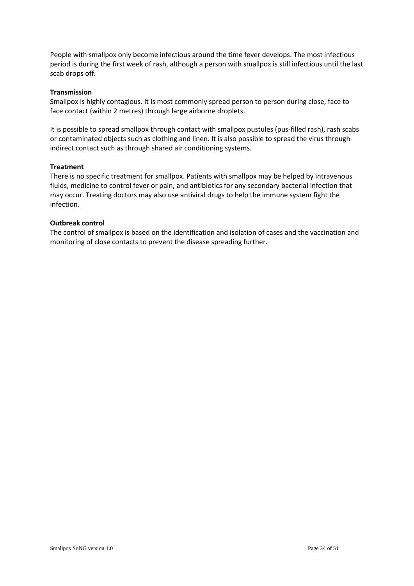People with smallpox only become infectious around the time fever develops. The most infectious period is during the first week of rash, although a person with smallpox is still infectious until the last scab drops off.

### **Transmission**

Smallpox is highly contagious. It is most commonly spread person to person during close, face to face contact (within 2 metres) through large airborne droplets.

It is possible to spread smallpox through contact with smallpox pustules (pus-filled rash), rash scabs or contaminated objects such as clothing and linen. It is also possible to spread the virus through indirect contact such as through shared air conditioning systems.

#### **Treatment**

There is no specific treatment for smallpox. Patients with smallpox may be helped by intravenous fluids, medicine to control fever or pain, and antibiotics for any secondary bacterial infection that may occur. Treating doctors may also use antiviral drugs to help the immune system fight the infection.

#### **Outbreak control**

The control of smallpox is based on the identification and isolation of cases and the vaccination and monitoring of close contacts to prevent the disease spreading further.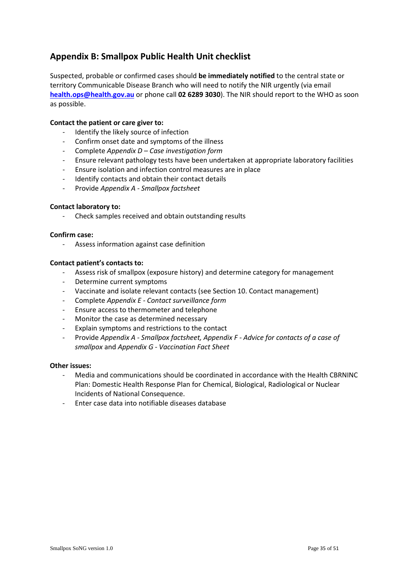## <span id="page-34-0"></span>**Appendix B: Smallpox Public Health Unit checklist**

Suspected, probable or confirmed cases should **be immediately notified** to the central state or territory Communicable Disease Branch who will need to notify the NIR urgently (via email **[health.ops@health.gov.au](mailto:health.ops@health.gov.au)** or phone call **02 6289 3030**). The NIR should report to the WHO as soon as possible.

## **Contact the patient or care giver to:**

- Identify the likely source of infection
- Confirm onset date and symptoms of the illness
- Complete *Appendix D – Case investigation form*
- Ensure relevant pathology tests have been undertaken at appropriate laboratory facilities
- Ensure isolation and infection control measures are in place
- Identify contacts and obtain their contact details
- Provide *Appendix A - Smallpox factsheet*

## **Contact laboratory to:**

- Check samples received and obtain outstanding results

### **Confirm case:**

- Assess information against case definition

### **Contact patient's contacts to:**

- Assess risk of smallpox (exposure history) and determine category for management
- Determine current symptoms
- Vaccinate and isolate relevant contacts (see Sectio[n 10. Contact management\)](#page-14-0)
- Complete *Appendix E - Contact surveillance form*
- Ensure access to thermometer and telephone
- Monitor the case as determined necessary
- Explain symptoms and restrictions to the contact
- Provide *Appendix A - Smallpox factsheet, Appendix F - Advice for contacts of a case of smallpox* and *Appendix G - Vaccination Fact Sheet*

#### **Other issues:**

- Media and communications should be coordinated in accordance with the Health CBRNINC Plan: Domestic Health Response Plan for Chemical, Biological, Radiological or Nuclear Incidents of National Consequence.
- Enter case data into notifiable diseases database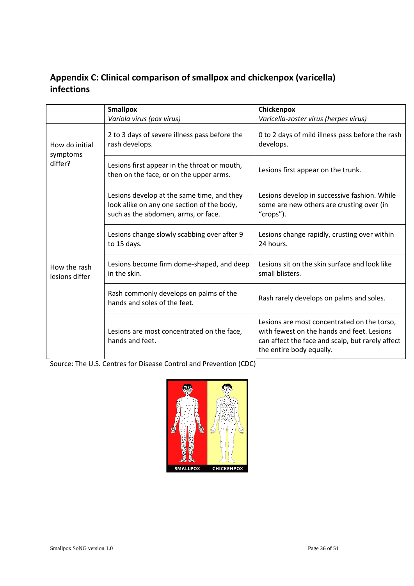# <span id="page-35-1"></span><span id="page-35-0"></span>**Appendix C: Clinical comparison of smallpox and chickenpox (varicella) infections**

|                                       | <b>Smallpox</b>                                                                                                                 | Chickenpox                                                                                                                                                                |  |
|---------------------------------------|---------------------------------------------------------------------------------------------------------------------------------|---------------------------------------------------------------------------------------------------------------------------------------------------------------------------|--|
|                                       | Variola virus (pox virus)                                                                                                       | Varicella-zoster virus (herpes virus)                                                                                                                                     |  |
| How do initial<br>symptoms<br>differ? | 2 to 3 days of severe illness pass before the<br>rash develops.                                                                 | 0 to 2 days of mild illness pass before the rash<br>develops.                                                                                                             |  |
|                                       | Lesions first appear in the throat or mouth,<br>then on the face, or on the upper arms.                                         | Lesions first appear on the trunk.                                                                                                                                        |  |
| How the rash<br>lesions differ        | Lesions develop at the same time, and they<br>look alike on any one section of the body,<br>such as the abdomen, arms, or face. | Lesions develop in successive fashion. While<br>some are new others are crusting over (in<br>"crops").                                                                    |  |
|                                       | Lesions change slowly scabbing over after 9<br>to 15 days.                                                                      | Lesions change rapidly, crusting over within<br>24 hours.                                                                                                                 |  |
|                                       | Lesions become firm dome-shaped, and deep<br>in the skin.                                                                       | Lesions sit on the skin surface and look like<br>small blisters.                                                                                                          |  |
|                                       | Rash commonly develops on palms of the<br>hands and soles of the feet.                                                          | Rash rarely develops on palms and soles.                                                                                                                                  |  |
|                                       | Lesions are most concentrated on the face,<br>hands and feet.                                                                   | Lesions are most concentrated on the torso,<br>with fewest on the hands and feet. Lesions<br>can affect the face and scalp, but rarely affect<br>the entire body equally. |  |

Source: The U.S. Centres for Disease Control and Prevention (CDC)

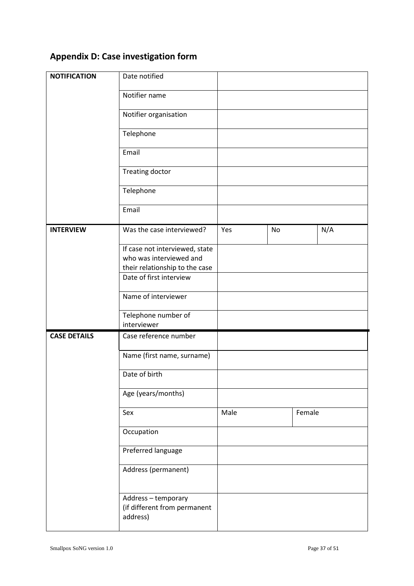# <span id="page-36-0"></span>**Appendix D: Case investigation form**

| <b>NOTIFICATION</b> | Date notified                                                                               |      |    |        |  |
|---------------------|---------------------------------------------------------------------------------------------|------|----|--------|--|
|                     | Notifier name                                                                               |      |    |        |  |
|                     | Notifier organisation                                                                       |      |    |        |  |
|                     | Telephone                                                                                   |      |    |        |  |
|                     | Email                                                                                       |      |    |        |  |
|                     | Treating doctor                                                                             |      |    |        |  |
|                     | Telephone                                                                                   |      |    |        |  |
|                     | Email                                                                                       |      |    |        |  |
| <b>INTERVIEW</b>    | Was the case interviewed?                                                                   | Yes  | No | N/A    |  |
|                     | If case not interviewed, state<br>who was interviewed and<br>their relationship to the case |      |    |        |  |
|                     | Date of first interview                                                                     |      |    |        |  |
|                     | Name of interviewer                                                                         |      |    |        |  |
|                     | Telephone number of<br>interviewer                                                          |      |    |        |  |
| <b>CASE DETAILS</b> | Case reference number                                                                       |      |    |        |  |
|                     | Name (first name, surname)                                                                  |      |    |        |  |
|                     | Date of birth                                                                               |      |    |        |  |
|                     | Age (years/months)                                                                          |      |    |        |  |
|                     | Sex                                                                                         | Male |    | Female |  |
|                     | Occupation                                                                                  |      |    |        |  |
|                     | Preferred language                                                                          |      |    |        |  |
|                     | Address (permanent)                                                                         |      |    |        |  |
|                     | Address-temporary<br>(if different from permanent<br>address)                               |      |    |        |  |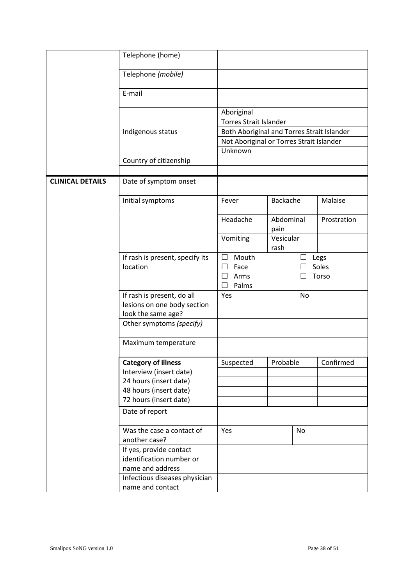|                         | Telephone (home)                                          |                                                     |                   |    |             |  |
|-------------------------|-----------------------------------------------------------|-----------------------------------------------------|-------------------|----|-------------|--|
|                         | Telephone (mobile)                                        |                                                     |                   |    |             |  |
|                         | E-mail                                                    |                                                     |                   |    |             |  |
|                         |                                                           | Aboriginal                                          |                   |    |             |  |
|                         |                                                           | <b>Torres Strait Islander</b>                       |                   |    |             |  |
|                         | Indigenous status                                         | Both Aboriginal and Torres Strait Islander          |                   |    |             |  |
|                         |                                                           | Not Aboriginal or Torres Strait Islander<br>Unknown |                   |    |             |  |
|                         | Country of citizenship                                    |                                                     |                   |    |             |  |
|                         |                                                           |                                                     |                   |    |             |  |
| <b>CLINICAL DETAILS</b> | Date of symptom onset                                     |                                                     |                   |    |             |  |
|                         | Initial symptoms                                          | Fever                                               | <b>Backache</b>   |    | Malaise     |  |
|                         |                                                           | Headache                                            | Abdominal<br>pain |    | Prostration |  |
|                         |                                                           | Vomiting                                            | Vesicular<br>rash |    |             |  |
|                         | If rash is present, specify its                           | Mouth<br>⊔                                          |                   |    | Legs        |  |
|                         | location                                                  | Face<br>ш                                           |                   |    | Soles       |  |
|                         |                                                           | П<br>Arms                                           |                   |    | Torso       |  |
|                         |                                                           | Palms<br>$\mathsf{L}$<br>Yes                        |                   | No |             |  |
|                         | If rash is present, do all<br>lesions on one body section |                                                     |                   |    |             |  |
|                         | look the same age?                                        |                                                     |                   |    |             |  |
|                         | Other symptoms (specify)                                  |                                                     |                   |    |             |  |
|                         | Maximum temperature                                       |                                                     |                   |    |             |  |
|                         | <b>Category of illness</b>                                | Suspected                                           | Probable          |    | Confirmed   |  |
|                         | Interview (insert date)<br>24 hours (insert date)         |                                                     |                   |    |             |  |
|                         | 48 hours (insert date)                                    |                                                     |                   |    |             |  |
|                         | 72 hours (insert date)                                    |                                                     |                   |    |             |  |
|                         | Date of report                                            |                                                     |                   |    |             |  |
|                         | Was the case a contact of                                 | Yes                                                 |                   | No |             |  |
|                         | another case?                                             |                                                     |                   |    |             |  |
|                         | If yes, provide contact                                   |                                                     |                   |    |             |  |
|                         | identification number or                                  |                                                     |                   |    |             |  |
|                         | name and address                                          |                                                     |                   |    |             |  |
|                         | Infectious diseases physician                             |                                                     |                   |    |             |  |
|                         | name and contact                                          |                                                     |                   |    |             |  |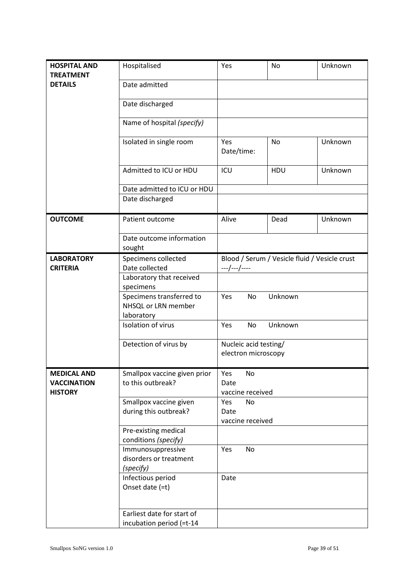| <b>HOSPITAL AND</b><br><b>TREATMENT</b>                    | Hospitalised                                                                                | Yes                                                           | <b>No</b> | Unknown |  |  |
|------------------------------------------------------------|---------------------------------------------------------------------------------------------|---------------------------------------------------------------|-----------|---------|--|--|
| <b>DETAILS</b>                                             | Date admitted                                                                               |                                                               |           |         |  |  |
|                                                            | Date discharged                                                                             |                                                               |           |         |  |  |
|                                                            | Name of hospital (specify)                                                                  |                                                               |           |         |  |  |
|                                                            | Isolated in single room                                                                     | Yes<br>Date/time:                                             | <b>No</b> | Unknown |  |  |
|                                                            | Admitted to ICU or HDU                                                                      | ICU                                                           | HDU       | Unknown |  |  |
|                                                            | Date admitted to ICU or HDU                                                                 |                                                               |           |         |  |  |
|                                                            | Date discharged                                                                             |                                                               |           |         |  |  |
|                                                            |                                                                                             |                                                               |           |         |  |  |
| <b>OUTCOME</b>                                             | Patient outcome                                                                             | Alive                                                         | Dead      | Unknown |  |  |
|                                                            | Date outcome information<br>sought                                                          |                                                               |           |         |  |  |
| <b>LABORATORY</b><br><b>CRITERIA</b>                       | Specimens collected<br>Date collected                                                       | Blood / Serum / Vesicle fluid / Vesicle crust<br>---/---/---- |           |         |  |  |
|                                                            | Laboratory that received<br>specimens                                                       |                                                               |           |         |  |  |
|                                                            | Specimens transferred to<br>NHSQL or LRN member<br>laboratory                               | <b>Yes</b><br><b>No</b>                                       | Unknown   |         |  |  |
|                                                            | Isolation of virus                                                                          | Yes<br><b>No</b>                                              | Unknown   |         |  |  |
|                                                            | Detection of virus by                                                                       | Nucleic acid testing/<br>electron microscopy                  |           |         |  |  |
| <b>MEDICAL AND</b><br><b>VACCINATION</b><br><b>HISTORY</b> | Smallpox vaccine given prior<br>to this outbreak?                                           | Yes<br>No<br>Date<br>vaccine received                         |           |         |  |  |
|                                                            | Smallpox vaccine given<br>during this outbreak?                                             | Yes<br><b>No</b><br>Date<br>vaccine received                  |           |         |  |  |
|                                                            | Pre-existing medical<br>conditions (specify)<br>Immunosuppressive<br>disorders or treatment | Yes<br>No                                                     |           |         |  |  |
|                                                            | (specify)<br>Infectious period<br>Onset date (=t)                                           | Date                                                          |           |         |  |  |
|                                                            | Earliest date for start of<br>incubation period (=t-14                                      |                                                               |           |         |  |  |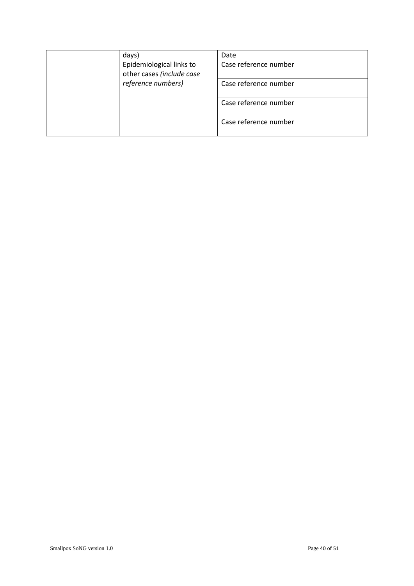| days)                                                 | Date                  |
|-------------------------------------------------------|-----------------------|
| Epidemiological links to<br>other cases (include case | Case reference number |
| reference numbers)                                    | Case reference number |
|                                                       | Case reference number |
|                                                       | Case reference number |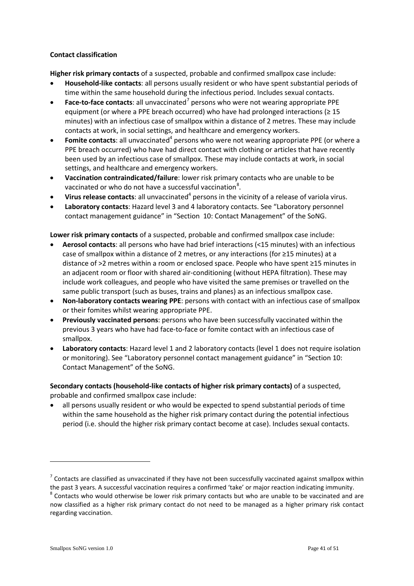## **Contact classification**

**Higher risk primary contacts** of a suspected, probable and confirmed smallpox case include:

- **Household-like contacts**: all persons usually resident or who have spent substantial periods of time within the same household during the infectious period. Includes sexual contacts.
- **Face-to-face contacts**: all unvaccinated<sup>[7](#page-40-0)</sup> persons who were not wearing appropriate PPE equipment (or where a PPE breach occurred) who have had prolonged interactions ( $\geq 15$ minutes) with an infectious case of smallpox within a distance of 2 metres. These may include contacts at work, in social settings, and healthcare and emergency workers.
- **• Fomite contacts**: all unvaccinated<sup>4</sup> persons who were not wearing appropriate PPE (or where a PPE breach occurred) who have had direct contact with clothing or articles that have recently been used by an infectious case of smallpox. These may include contacts at work, in social settings, and healthcare and emergency workers.
- **Vaccination contraindicated/failure**: lower risk primary contacts who are unable to be vaccinated or who do not have a successful vaccination<sup>[8](#page-40-1)</sup>.
- **Virus release contacts**: all unvaccinated<sup>4</sup> persons in the vicinity of a release of variola virus.
- **Laboratory contacts**: Hazard level 3 and 4 laboratory contacts. See "Laboratory personnel contact management guidance" in "Section 10: Contact Management" of the SoNG.

**Lower risk primary contacts** of a suspected, probable and confirmed smallpox case include:

- **Aerosol contacts**: all persons who have had brief interactions (<15 minutes) with an infectious case of smallpox within a distance of 2 metres, or any interactions (for ≥15 minutes) at a distance of >2 metres within a room or enclosed space. People who have spent ≥15 minutes in an adjacent room or floor with shared air-conditioning (without HEPA filtration). These may include work colleagues, and people who have visited the same premises or travelled on the same public transport (such as buses, trains and planes) as an infectious smallpox case.
- **Non-laboratory contacts wearing PPE**: persons with contact with an infectious case of smallpox or their fomites whilst wearing appropriate PPE.
- **Previously vaccinated persons**: persons who have been successfully vaccinated within the previous 3 years who have had face-to-face or fomite contact with an infectious case of smallpox.
- **Laboratory contacts**: Hazard level 1 and 2 laboratory contacts (level 1 does not require isolation or monitoring). See "Laboratory personnel contact management guidance" in "Section 10: Contact Management" of the SoNG.

**Secondary contacts (household-like contacts of higher risk primary contacts)** of a suspected, probable and confirmed smallpox case include:

• all persons usually resident or who would be expected to spend substantial periods of time within the same household as the higher risk primary contact during the potential infectious period (i.e. should the higher risk primary contact become at case). Includes sexual contacts.

**.** 

<span id="page-40-0"></span> $7$  Contacts are classified as unvaccinated if they have not been successfully vaccinated against smallpox within

<span id="page-40-1"></span>the past 3 years. A successful vaccination requires a confirmed 'take' or major reaction indicating immunity.<br><sup>8</sup> Contacts who would otherwise be lower risk primary contacts but who are unable to be vaccinated and are now classified as a higher risk primary contact do not need to be managed as a higher primary risk contact regarding vaccination.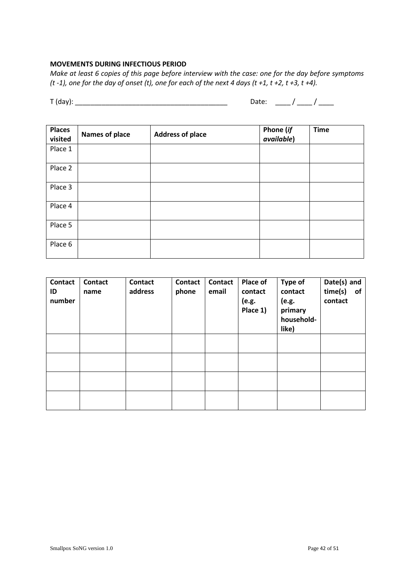## **MOVEMENTS DURING INFECTIOUS PERIOD**

*Make at least 6 copies of this page before interview with the case: one for the day before symptoms (t -1), one for the day of onset (t), one for each of the next 4 days (t +1, t +2, t +3, t +4).* 

T (day): \_\_\_\_\_\_\_\_\_\_\_\_\_\_\_\_\_\_\_\_\_\_\_\_\_\_\_\_\_\_\_\_\_\_\_\_\_\_\_\_ Date: \_\_\_\_ / \_\_\_\_ / \_\_\_\_

| <b>Places</b><br>visited | <b>Names of place</b> | <b>Address of place</b> | Phone (if<br>available) | <b>Time</b> |
|--------------------------|-----------------------|-------------------------|-------------------------|-------------|
| Place 1                  |                       |                         |                         |             |
| Place 2                  |                       |                         |                         |             |
| Place 3                  |                       |                         |                         |             |
| Place 4                  |                       |                         |                         |             |
| Place 5                  |                       |                         |                         |             |
| Place 6                  |                       |                         |                         |             |

| <b>Contact</b><br>ID<br>number | <b>Contact</b><br>name | <b>Contact</b><br>address | <b>Contact</b><br>phone | <b>Contact</b><br>email | Place of<br>contact<br>(e.g.<br>Place 1) | <b>Type of</b><br>contact<br>(e.g.<br>primary<br>household-<br>like) | Date(s) and<br>time(s)<br>of<br>contact |
|--------------------------------|------------------------|---------------------------|-------------------------|-------------------------|------------------------------------------|----------------------------------------------------------------------|-----------------------------------------|
|                                |                        |                           |                         |                         |                                          |                                                                      |                                         |
|                                |                        |                           |                         |                         |                                          |                                                                      |                                         |
|                                |                        |                           |                         |                         |                                          |                                                                      |                                         |
|                                |                        |                           |                         |                         |                                          |                                                                      |                                         |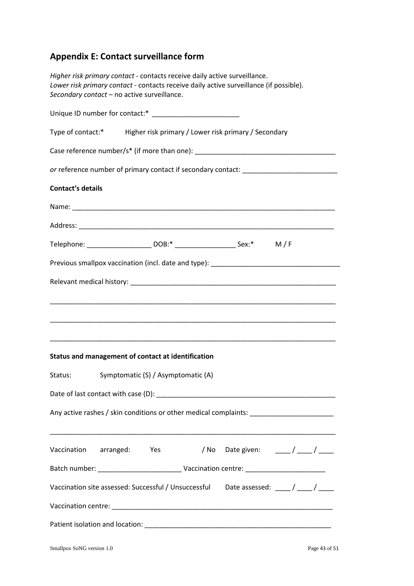## <span id="page-42-0"></span>**Appendix E: Contact surveillance form**

*Higher risk primary contact* - contacts receive daily active surveillance. *Lower risk primary contact* - contacts receive daily active surveillance (if possible). *Secondary contact* – no active surveillance. Unique ID number for contact:\* \_\_\_\_\_\_\_\_\_\_\_\_\_\_\_\_\_\_\_\_\_\_\_ Type of contact:\* Higher risk primary / Lower risk primary / Secondary Case reference number/s\* (if more than one): \_\_\_\_\_\_\_\_\_\_\_\_\_\_\_\_\_\_\_\_\_\_\_\_\_\_\_\_\_\_\_\_\_\_\_ *or* reference number of primary contact if secondary contact: \_\_\_\_\_\_\_\_\_\_\_\_\_\_\_\_\_\_\_ **Contact's details** Name: \_\_\_\_\_\_\_\_\_\_\_\_\_\_\_\_\_\_\_\_\_\_\_\_\_\_\_\_\_\_\_\_\_\_\_\_\_\_\_\_\_\_\_\_\_\_\_\_\_\_\_\_\_\_\_\_\_\_\_\_\_\_\_\_\_\_\_\_\_ Address: \_\_\_\_\_\_\_\_\_\_\_\_\_\_\_\_\_\_\_\_\_\_\_\_\_\_\_\_\_\_\_\_\_\_\_\_\_\_\_\_\_\_\_\_\_\_\_\_\_\_\_\_\_\_\_\_\_\_\_\_\_\_\_\_\_\_\_ Telephone: \_\_\_\_\_\_\_\_\_\_\_\_\_\_\_\_\_ DOB:\* \_\_\_\_\_\_\_\_\_\_\_\_\_\_\_\_ Sex:\* M / F Previous smallpox vaccination (incl. date and type): \_\_\_\_\_\_\_\_\_\_\_\_\_\_\_\_\_\_\_\_\_\_\_\_\_\_\_ Relevant medical history: \_\_\_\_\_\_\_\_\_\_\_\_\_\_\_\_\_\_\_\_\_\_\_\_\_\_\_\_\_\_\_\_\_\_\_\_\_\_\_\_\_\_\_\_\_\_\_\_\_\_\_\_\_\_ \_\_\_\_\_\_\_\_\_\_\_\_\_\_\_\_\_\_\_\_\_\_\_\_\_\_\_\_\_\_\_\_\_\_\_\_\_\_\_\_\_\_\_\_\_\_\_\_\_\_\_\_\_\_\_\_\_\_\_\_\_\_\_\_\_\_\_\_\_\_\_\_\_\_\_ \_\_\_\_\_\_\_\_\_\_\_\_\_\_\_\_\_\_\_\_\_\_\_\_\_\_\_\_\_\_\_\_\_\_\_\_\_\_\_\_\_\_\_\_\_\_\_\_\_\_\_\_\_\_\_\_\_\_\_\_\_\_\_\_\_\_\_\_\_\_\_\_\_\_\_ \_\_\_\_\_\_\_\_\_\_\_\_\_\_\_\_\_\_\_\_\_\_\_\_\_\_\_\_\_\_\_\_\_\_\_\_\_\_\_\_\_\_\_\_\_\_\_\_\_\_\_\_\_\_\_\_\_\_\_\_\_\_\_\_\_\_\_\_\_\_\_\_\_\_\_ **Status and management of contact at identification** Status: Symptomatic (S) / Asymptomatic (A) Date of last contact with case (D):  $\Box$ Any active rashes / skin conditions or other medical complaints: \_\_\_\_\_\_\_\_\_\_\_\_\_\_\_ \_\_\_\_\_\_\_\_\_\_\_\_\_\_\_\_\_\_\_\_\_\_\_\_\_\_\_\_\_\_\_\_\_\_\_\_\_\_\_\_\_\_\_\_\_\_\_\_\_\_\_\_\_\_\_\_\_\_\_\_\_\_\_\_\_\_\_\_\_\_\_\_\_\_\_ Vaccination arranged: Yes / No Date given:  $\frac{1}{2}$  /  $\frac{1}{2}$ Batch number: \_\_\_\_\_\_\_\_\_\_\_\_\_\_\_\_\_\_\_\_\_\_\_\_\_\_\_\_\_Vaccination centre: \_\_\_\_\_\_\_\_\_\_\_\_\_\_\_\_\_ Vaccination site assessed: Successful / Unsuccessful Date assessed: \_\_\_\_ / \_\_\_\_ / Vaccination centre: \_\_\_\_\_\_\_\_\_\_\_\_\_\_\_\_\_\_\_\_\_\_\_\_\_\_\_\_\_\_\_\_\_\_\_\_\_\_\_\_\_\_\_\_\_\_\_\_\_\_\_\_\_\_\_\_\_\_ Patient isolation and location: **with a set of the set of the set of the set of the set of the set of the set of the set of the set of the set of the set of the set of the set of the set of the set of the set of the set of**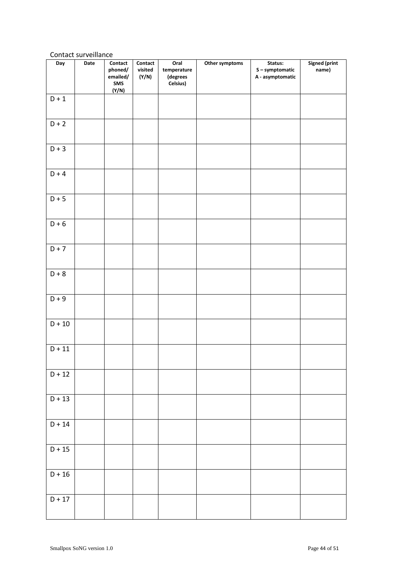#### Contact surveillance

| Day                       | Date | Contact<br>phoned/<br>emailed/<br>SMS<br>(Y/N) | Contact<br>visited<br>(Y/N) | Oral<br>temperature<br>(degrees<br>Celsius) | Other symptoms | Status:<br>S-symptomatic<br>A - asymptomatic | <b>Signed (print</b><br>name) |
|---------------------------|------|------------------------------------------------|-----------------------------|---------------------------------------------|----------------|----------------------------------------------|-------------------------------|
| $\mathsf{D} + \mathsf{1}$ |      |                                                |                             |                                             |                |                                              |                               |
| $D + 2$                   |      |                                                |                             |                                             |                |                                              |                               |
| $D + 3$                   |      |                                                |                             |                                             |                |                                              |                               |
| $D + 4$                   |      |                                                |                             |                                             |                |                                              |                               |
| $D + 5$                   |      |                                                |                             |                                             |                |                                              |                               |
| $D + 6$                   |      |                                                |                             |                                             |                |                                              |                               |
| $D + 7$                   |      |                                                |                             |                                             |                |                                              |                               |
| $\mathsf{D}$ + 8          |      |                                                |                             |                                             |                |                                              |                               |
| $D + 9$                   |      |                                                |                             |                                             |                |                                              |                               |
| $\mathsf{D}$ + 10         |      |                                                |                             |                                             |                |                                              |                               |
| $D + 11$                  |      |                                                |                             |                                             |                |                                              |                               |
| $D + 12$                  |      |                                                |                             |                                             |                |                                              |                               |
| $\mathsf{D}$ + 13         |      |                                                |                             |                                             |                |                                              |                               |
| $\mathsf{D}$ + 14         |      |                                                |                             |                                             |                |                                              |                               |
| $\mathsf{D}$ + 15         |      |                                                |                             |                                             |                |                                              |                               |
| $\mathsf{D}$ + 16         |      |                                                |                             |                                             |                |                                              |                               |
| $\mathsf{D}$ + 17         |      |                                                |                             |                                             |                |                                              |                               |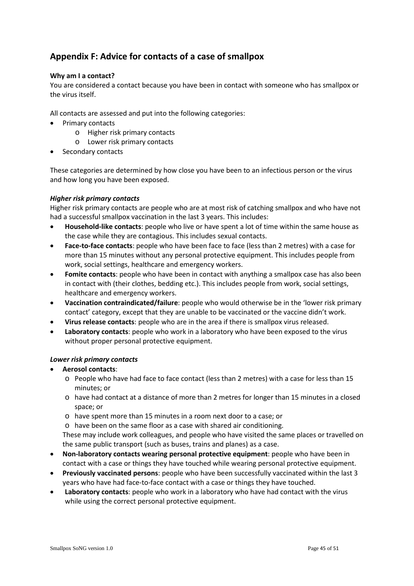## <span id="page-44-0"></span>**Appendix F: Advice for contacts of a case of smallpox**

## **Why am I a contact?**

You are considered a contact because you have been in contact with someone who has smallpox or the virus itself.

All contacts are assessed and put into the following categories:

- Primary contacts
	- o Higher risk primary contacts
	- o Lower risk primary contacts
- Secondary contacts

These categories are determined by how close you have been to an infectious person or the virus and how long you have been exposed.

## *Higher risk primary contacts*

Higher risk primary contacts are people who are at most risk of catching smallpox and who have not had a successful smallpox vaccination in the last 3 years. This includes:

- **Household-like contacts**: people who live or have spent a lot of time within the same house as the case while they are contagious. This includes sexual contacts.
- **Face-to-face contacts**: people who have been face to face (less than 2 metres) with a case for more than 15 minutes without any personal protective equipment. This includes people from work, social settings, healthcare and emergency workers.
- **Fomite contacts**: people who have been in contact with anything a smallpox case has also been in contact with (their clothes, bedding etc.). This includes people from work, social settings, healthcare and emergency workers.
- **Vaccination contraindicated/failure**: people who would otherwise be in the 'lower risk primary contact' category, except that they are unable to be vaccinated or the vaccine didn't work.
- **Virus release contacts**: people who are in the area if there is smallpox virus released.
- **Laboratory contacts**: people who work in a laboratory who have been exposed to the virus without proper personal protective equipment.

## *Lower risk primary contacts*

- **Aerosol contacts**:
	- o People who have had face to face contact (less than 2 metres) with a case for less than 15 minutes; or
	- o have had contact at a distance of more than 2 metres for longer than 15 minutes in a closed space; or
	- $\circ$  have spent more than 15 minutes in a room next door to a case; or
	- o have been on the same floor as a case with shared air conditioning.

These may include work colleagues, and people who have visited the same places or travelled on the same public transport (such as buses, trains and planes) as a case.

- **Non-laboratory contacts wearing personal protective equipment**: people who have been in contact with a case or things they have touched while wearing personal protective equipment.
- **Previously vaccinated persons**: people who have been successfully vaccinated within the last 3 years who have had face-to-face contact with a case or things they have touched.
- **Laboratory contacts**: people who work in a laboratory who have had contact with the virus while using the correct personal protective equipment.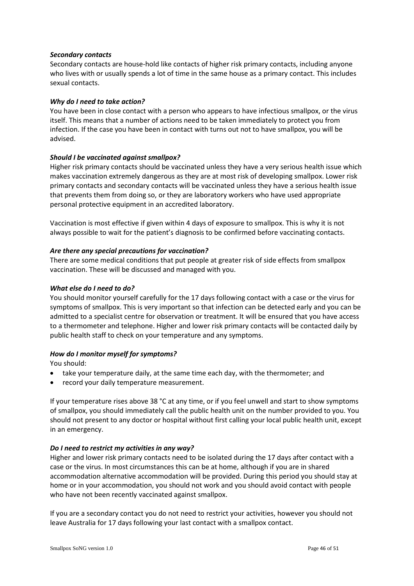## *Secondary contacts*

Secondary contacts are house-hold like contacts of higher risk primary contacts, including anyone who lives with or usually spends a lot of time in the same house as a primary contact. This includes sexual contacts.

## *Why do I need to take action?*

You have been in close contact with a person who appears to have infectious smallpox, or the virus itself. This means that a number of actions need to be taken immediately to protect you from infection. If the case you have been in contact with turns out not to have smallpox, you will be advised.

## *Should I be vaccinated against smallpox?*

Higher risk primary contacts should be vaccinated unless they have a very serious health issue which makes vaccination extremely dangerous as they are at most risk of developing smallpox. Lower risk primary contacts and secondary contacts will be vaccinated unless they have a serious health issue that prevents them from doing so, or they are laboratory workers who have used appropriate personal protective equipment in an accredited laboratory.

Vaccination is most effective if given within 4 days of exposure to smallpox. This is why it is not always possible to wait for the patient's diagnosis to be confirmed before vaccinating contacts.

## *Are there any special precautions for vaccination?*

There are some medical conditions that put people at greater risk of side effects from smallpox vaccination. These will be discussed and managed with you.

### *What else do I need to do?*

You should monitor yourself carefully for the 17 days following contact with a case or the virus for symptoms of smallpox. This is very important so that infection can be detected early and you can be admitted to a specialist centre for observation or treatment. It will be ensured that you have access to a thermometer and telephone. Higher and lower risk primary contacts will be contacted daily by public health staff to check on your temperature and any symptoms.

## *How do I monitor myself for symptoms?*

You should:

- take your temperature daily, at the same time each day, with the thermometer; and
- record your daily temperature measurement.

If your temperature rises above 38 °C at any time, or if you feel unwell and start to show symptoms of smallpox, you should immediately call the public health unit on the number provided to you. You should not present to any doctor or hospital without first calling your local public health unit, except in an emergency.

## *Do I need to restrict my activities in any way?*

Higher and lower risk primary contacts need to be isolated during the 17 days after contact with a case or the virus. In most circumstances this can be at home, although if you are in shared accommodation alternative accommodation will be provided. During this period you should stay at home or in your accommodation, you should not work and you should avoid contact with people who have not been recently vaccinated against smallpox.

If you are a secondary contact you do not need to restrict your activities, however you should not leave Australia for 17 days following your last contact with a smallpox contact.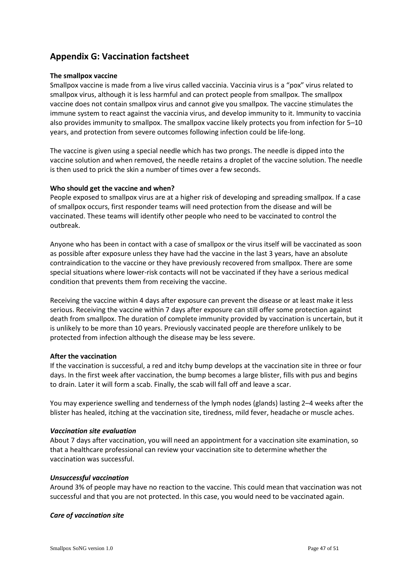## <span id="page-46-0"></span>**Appendix G: Vaccination factsheet**

## **The smallpox vaccine**

Smallpox vaccine is made from a live virus called vaccinia. Vaccinia virus is a "pox" virus related to smallpox virus, although it is less harmful and can protect people from smallpox. The smallpox vaccine does not contain smallpox virus and cannot give you smallpox. The vaccine stimulates the immune system to react against the vaccinia virus, and develop immunity to it. Immunity to vaccinia also provides immunity to smallpox. The smallpox vaccine likely protects you from infection for 5–10 years, and protection from severe outcomes following infection could be life-long.

The vaccine is given using a special needle which has two prongs. The needle is dipped into the vaccine solution and when removed, the needle retains a droplet of the vaccine solution. The needle is then used to prick the skin a number of times over a few seconds.

### **Who should get the vaccine and when?**

People exposed to smallpox virus are at a higher risk of developing and spreading smallpox. If a case of smallpox occurs, first responder teams will need protection from the disease and will be vaccinated. These teams will identify other people who need to be vaccinated to control the outbreak.

Anyone who has been in contact with a case of smallpox or the virus itself will be vaccinated as soon as possible after exposure unless they have had the vaccine in the last 3 years, have an absolute contraindication to the vaccine or they have previously recovered from smallpox. There are some special situations where lower-risk contacts will not be vaccinated if they have a serious medical condition that prevents them from receiving the vaccine.

Receiving the vaccine within 4 days after exposure can prevent the disease or at least make it less serious. Receiving the vaccine within 7 days after exposure can still offer some protection against death from smallpox. The duration of complete immunity provided by vaccination is uncertain, but it is unlikely to be more than 10 years. Previously vaccinated people are therefore unlikely to be protected from infection although the disease may be less severe.

## **After the vaccination**

If the vaccination is successful, a red and itchy bump develops at the vaccination site in three or four days. In the first week after vaccination, the bump becomes a large blister, fills with pus and begins to drain. Later it will form a scab. Finally, the scab will fall off and leave a scar.

You may experience swelling and tenderness of the lymph nodes (glands) lasting 2–4 weeks after the blister has healed, itching at the vaccination site, tiredness, mild fever, headache or muscle aches.

#### *Vaccination site evaluation*

About 7 days after vaccination, you will need an appointment for a vaccination site examination, so that a healthcare professional can review your vaccination site to determine whether the vaccination was successful.

## *Unsuccessful vaccination*

Around 3% of people may have no reaction to the vaccine. This could mean that vaccination was not successful and that you are not protected. In this case, you would need to be vaccinated again.

#### *Care of vaccination site*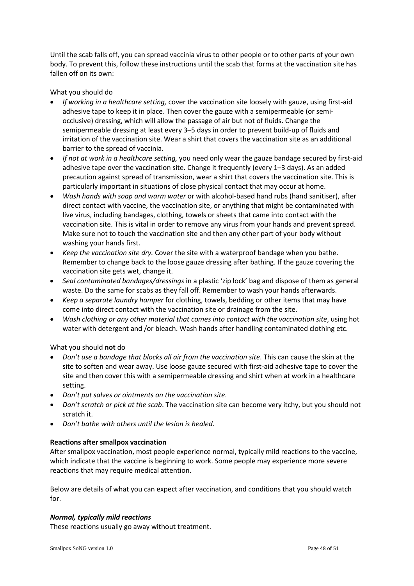Until the scab falls off, you can spread vaccinia virus to other people or to other parts of your own body. To prevent this, follow these instructions until the scab that forms at the vaccination site has fallen off on its own:

## What you should do

- *If working in a healthcare setting,* cover the vaccination site loosely with gauze, using first-aid adhesive tape to keep it in place. Then cover the gauze with a semipermeable (or semiocclusive) dressing, which will allow the passage of air but not of fluids. Change the semipermeable dressing at least every 3–5 days in order to prevent build-up of fluids and irritation of the vaccination site. Wear a shirt that covers the vaccination site as an additional barrier to the spread of vaccinia.
- *If not at work in a healthcare setting,* you need only wear the gauze bandage secured by first-aid adhesive tape over the vaccination site. Change it frequently (every 1–3 days). As an added precaution against spread of transmission, wear a shirt that covers the vaccination site. This is particularly important in situations of close physical contact that may occur at home.
- *Wash hands with soap and warm water* or with alcohol-based hand rubs (hand sanitiser), after direct contact with vaccine, the vaccination site, or anything that might be contaminated with live virus, including bandages, clothing, towels or sheets that came into contact with the vaccination site. This is vital in order to remove any virus from your hands and prevent spread. Make sure not to touch the vaccination site and then any other part of your body without washing your hands first.
- *Keep the vaccination site dry.* Cover the site with a waterproof bandage when you bathe. Remember to change back to the loose gauze dressing after bathing. If the gauze covering the vaccination site gets wet, change it.
- *Seal contaminated bandages/dressings* in a plastic 'zip lock' bag and dispose of them as general waste. Do the same for scabs as they fall off. Remember to wash your hands afterwards.
- *Keep a separate laundry hamper* for clothing, towels, bedding or other items that may have come into direct contact with the vaccination site or drainage from the site.
- *Wash clothing or any other material that comes into contact with the vaccination site*, using hot water with detergent and /or bleach. Wash hands after handling contaminated clothing etc.

## What you should **not** do

- *Don't use a bandage that blocks all air from the vaccination site*. This can cause the skin at the site to soften and wear away. Use loose gauze secured with first-aid adhesive tape to cover the site and then cover this with a semipermeable dressing and shirt when at work in a healthcare setting.
- *Don't put salves or ointments on the vaccination site*.
- *Don't scratch or pick at the scab*. The vaccination site can become very itchy, but you should not scratch it.
- *Don't bathe with others until the lesion is healed*.

## **Reactions after smallpox vaccination**

After smallpox vaccination, most people experience normal, typically mild reactions to the vaccine, which indicate that the vaccine is beginning to work. Some people may experience more severe reactions that may require medical attention.

Below are details of what you can expect after vaccination, and conditions that you should watch for.

## *Normal, typically mild reactions*

These reactions usually go away without treatment.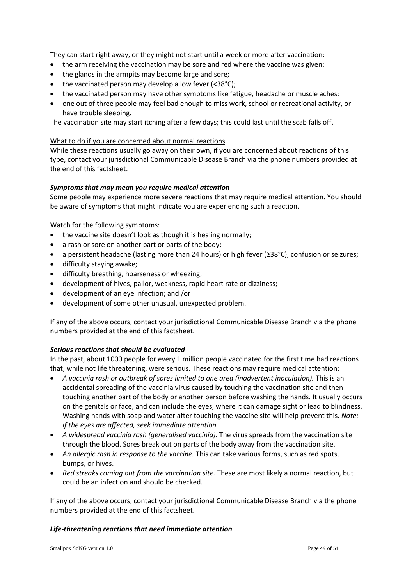They can start right away, or they might not start until a week or more after vaccination:

- the arm receiving the vaccination may be sore and red where the vaccine was given;
- the glands in the armpits may become large and sore;
- the vaccinated person may develop a low fever (<38°C);
- the vaccinated person may have other symptoms like fatigue, headache or muscle aches;
- one out of three people may feel bad enough to miss work, school or recreational activity, or have trouble sleeping.

The vaccination site may start itching after a few days; this could last until the scab falls off.

## What to do if you are concerned about normal reactions

While these reactions usually go away on their own, if you are concerned about reactions of this type, contact your jurisdictional Communicable Disease Branch via the phone numbers provided at the end of this factsheet.

## *Symptoms that may mean you require medical attention*

Some people may experience more severe reactions that may require medical attention. You should be aware of symptoms that might indicate you are experiencing such a reaction.

Watch for the following symptoms:

- the vaccine site doesn't look as though it is healing normally;
- a rash or sore on another part or parts of the body;
- a persistent headache (lasting more than 24 hours) or high fever (≥38°C), confusion or seizures;
- difficulty staying awake;
- difficulty breathing, hoarseness or wheezing;
- development of hives, pallor, weakness, rapid heart rate or dizziness;
- development of an eye infection; and /or
- development of some other unusual, unexpected problem.

If any of the above occurs, contact your jurisdictional Communicable Disease Branch via the phone numbers provided at the end of this factsheet.

## *Serious reactions that should be evaluated*

In the past, about 1000 people for every 1 million people vaccinated for the first time had reactions that, while not life threatening, were serious. These reactions may require medical attention:

- *A vaccinia rash or outbreak of sores limited to one area (inadvertent inoculation).* This is an accidental spreading of the vaccinia virus caused by touching the vaccination site and then touching another part of the body or another person before washing the hands. It usually occurs on the genitals or face, and can include the eyes, where it can damage sight or lead to blindness. Washing hands with soap and water after touching the vaccine site will help prevent this. *Note: if the eyes are affected, seek immediate attention.*
- *A widespread vaccinia rash (generalised vaccinia).* The virus spreads from the vaccination site through the blood. Sores break out on parts of the body away from the vaccination site.
- *An allergic rash in response to the vaccine.* This can take various forms, such as red spots, bumps, or hives.
- *Red streaks coming out from the vaccination site.* These are most likely a normal reaction, but could be an infection and should be checked.

If any of the above occurs, contact your jurisdictional Communicable Disease Branch via the phone numbers provided at the end of this factsheet.

## *Life-threatening reactions that need immediate attention*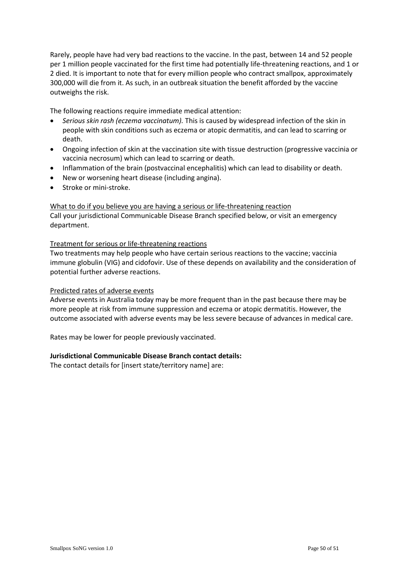Rarely, people have had very bad reactions to the vaccine. In the past, between 14 and 52 people per 1 million people vaccinated for the first time had potentially life-threatening reactions, and 1 or 2 died. It is important to note that for every million people who contract smallpox, approximately 300,000 will die from it. As such, in an outbreak situation the benefit afforded by the vaccine outweighs the risk.

The following reactions require immediate medical attention:

- *Serious skin rash (eczema vaccinatum).* This is caused by widespread infection of the skin in people with skin conditions such as eczema or atopic dermatitis, and can lead to scarring or death.
- Ongoing infection of skin at the vaccination site with tissue destruction (progressive vaccinia or vaccinia necrosum) which can lead to scarring or death.
- Inflammation of the brain (postvaccinal encephalitis) which can lead to disability or death.
- New or worsening heart disease (including angina).
- Stroke or mini-stroke.

What to do if you believe you are having a serious or life-threatening reaction Call your jurisdictional Communicable Disease Branch specified below, or visit an emergency department.

## Treatment for serious or life-threatening reactions

Two treatments may help people who have certain serious reactions to the vaccine; vaccinia immune globulin (VIG) and cidofovir. Use of these depends on availability and the consideration of potential further adverse reactions.

## Predicted rates of adverse events

Adverse events in Australia today may be more frequent than in the past because there may be more people at risk from immune suppression and eczema or atopic dermatitis. However, the outcome associated with adverse events may be less severe because of advances in medical care.

Rates may be lower for people previously vaccinated.

## **Jurisdictional Communicable Disease Branch contact details:**

The contact details for [insert state/territory name] are: